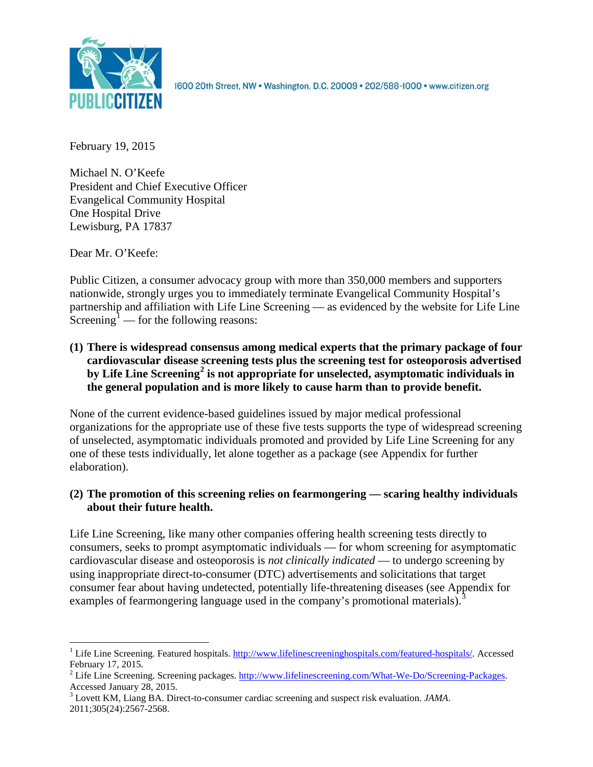

1600 20th Street, NW . Washington, D.C. 20009 . 202/588-1000 . www.citizen.org

February 19, 2015

Michael N. O'Keefe President and Chief Executive Officer Evangelical Community Hospital One Hospital Drive Lewisburg, PA 17837

Dear Mr. O'Keefe:

Public Citizen, a consumer advocacy group with more than 350,000 members and supporters nationwide, strongly urges you to immediately terminate Evangelical Community Hospital's partnership and affiliation with Life Line Screening — as evidenced by the website for Life Line Screening<sup>[1](#page-0-0)</sup> — for the following reasons:

**(1) There is widespread consensus among medical experts that the primary package of four cardiovascular disease screening tests plus the screening test for osteoporosis advertised by Life Line Screening[2](#page-0-1) is not appropriate for unselected, asymptomatic individuals in the general population and is more likely to cause harm than to provide benefit.**

None of the current evidence-based guidelines issued by major medical professional organizations for the appropriate use of these five tests supports the type of widespread screening of unselected, asymptomatic individuals promoted and provided by Life Line Screening for any one of these tests individually, let alone together as a package (see Appendix for further elaboration).

# **(2) The promotion of this screening relies on fearmongering — scaring healthy individuals about their future health.**

Life Line Screening, like many other companies offering health screening tests directly to consumers, seeks to prompt asymptomatic individuals — for whom screening for asymptomatic cardiovascular disease and osteoporosis is *not clinically indicated* — to undergo screening by using inappropriate direct-to-consumer (DTC) advertisements and solicitations that target consumer fear about having undetected, potentially life-threatening diseases (see Appendix for examples of fearmongering language used in the company's promotional materials).<sup>[3](#page-0-2)</sup>

<span id="page-0-0"></span><sup>&</sup>lt;sup>1</sup> Life Line Screening. Featured hospitals. [http://www.lifelinescreeninghospitals.com/featured-hospitals/.](http://www.lifelinescreeninghospitals.com/featured-hospitals/) Accessed

<span id="page-0-1"></span>February 17, 2015.<br><sup>2</sup> Life Line Screening. Screening packages. [http://www.lifelinescreening.com/What-We-Do/Screening-Packages.](http://www.lifelinescreening.com/What-We-Do/Screening-Packages)<br>Accessed January 28, 2015.

<span id="page-0-2"></span><sup>&</sup>lt;sup>3</sup> Lovett KM, Liang BA. Direct-to-consumer cardiac screening and suspect risk evaluation. *JAMA*. 2011;305(24):2567-2568.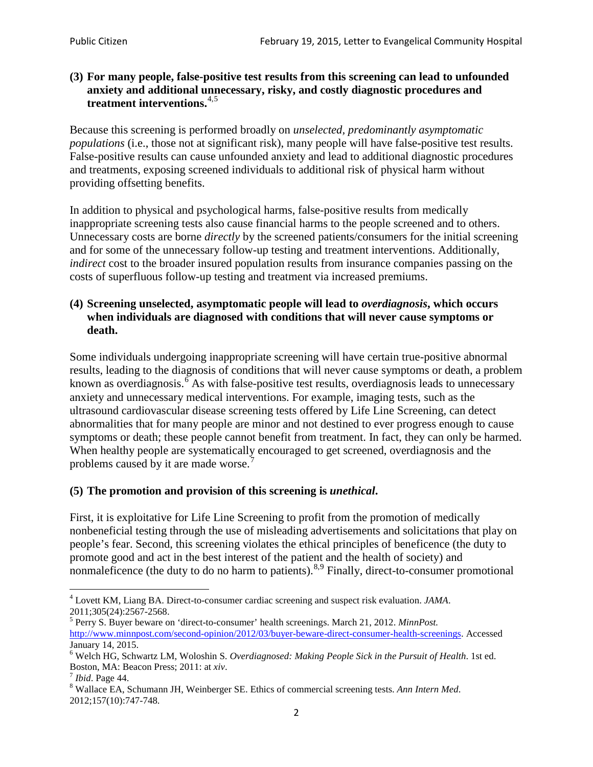### **(3) For many people, false-positive test results from this screening can lead to unfounded anxiety and additional unnecessary, risky, and costly diagnostic procedures and treatment interventions.**[4](#page-1-0),[5](#page-1-1)

Because this screening is performed broadly on *unselected, predominantly asymptomatic populations* (i.e., those not at significant risk), many people will have false**-**positive test results. False-positive results can cause unfounded anxiety and lead to additional diagnostic procedures and treatments, exposing screened individuals to additional risk of physical harm without providing offsetting benefits.

In addition to physical and psychological harms, false-positive results from medically inappropriate screening tests also cause financial harms to the people screened and to others. Unnecessary costs are borne *directly* by the screened patients/consumers for the initial screening and for some of the unnecessary follow-up testing and treatment interventions. Additionally, *indirect* cost to the broader insured population results from insurance companies passing on the costs of superfluous follow-up testing and treatment via increased premiums.

### **(4) Screening unselected, asymptomatic people will lead to** *overdiagnosis***, which occurs when individuals are diagnosed with conditions that will never cause symptoms or death.**

Some individuals undergoing inappropriate screening will have certain true-positive abnormal results, leading to the diagnosis of conditions that will never cause symptoms or death, a problem known as overdiagnosis.<sup>[6](#page-1-2)</sup> As with false-positive test results, overdiagnosis leads to unnecessary anxiety and unnecessary medical interventions. For example, imaging tests, such as the ultrasound cardiovascular disease screening tests offered by Life Line Screening, can detect abnormalities that for many people are minor and not destined to ever progress enough to cause symptoms or death; these people cannot benefit from treatment. In fact, they can only be harmed. When healthy people are systematically encouraged to get screened, overdiagnosis and the problems caused by it are made worse.<sup>[7](#page-1-3)</sup>

## **(5) The promotion and provision of this screening is** *unethical***.**

First, it is exploitative for Life Line Screening to profit from the promotion of medically nonbeneficial testing through the use of misleading advertisements and solicitations that play on people's fear. Second, this screening violates the ethical principles of beneficence (the duty to promote good and act in the best interest of the patient and the health of society) and nonmaleficence (the duty to do no harm to patients).<sup>[8](#page-1-4),[9](#page-1-5)</sup> Finally, direct-to-consumer promotional

<span id="page-1-4"></span>2012;157(10):747-748.

<span id="page-1-5"></span><span id="page-1-0"></span><sup>4</sup> Lovett KM, Liang BA. Direct-to-consumer cardiac screening and suspect risk evaluation. *JAMA*.

<span id="page-1-1"></span><sup>2011;305(24):2567-2568.</sup> <sup>5</sup> Perry S. Buyer beware on 'direct-to-consumer' health screenings. March 21, 2012. *MinnPost.*  [http://www.minnpost.com/second-opinion/2012/03/buyer-beware-direct-consumer-health-screenings.](http://www.minnpost.com/second-opinion/2012/03/buyer-beware-direct-consumer-health-screenings) Accessed January 14, 2015.

<span id="page-1-2"></span><sup>6</sup> Welch HG, Schwartz LM, Woloshin S. *Overdiagnosed: Making People Sick in the Pursuit of Health*. 1st ed. Boston, MA: Beacon Press; 2011: at *xiv*.<br><sup>7</sup> *Ibid*. Page 44.<br><sup>8</sup> Wallace EA, Schumann JH, Weinberger SE. Ethics of commercial screening tests. *Ann Intern Med*.

<span id="page-1-3"></span>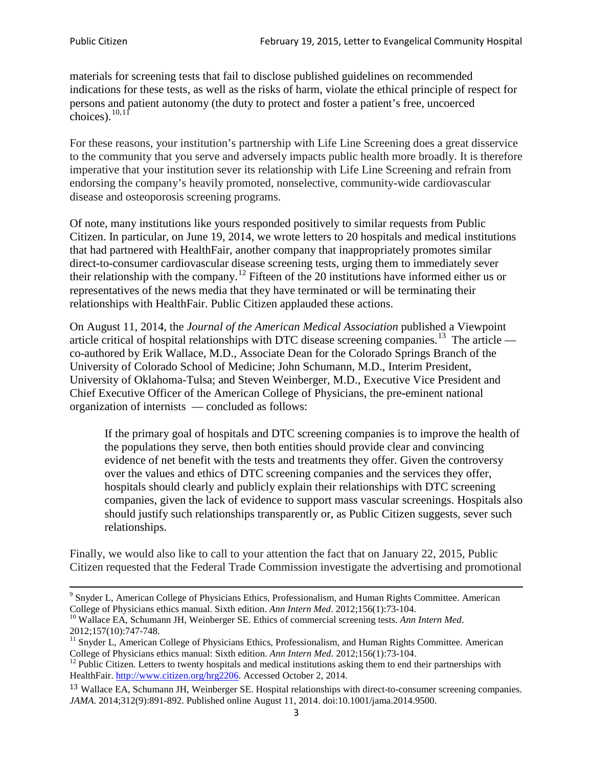materials for screening tests that fail to disclose published guidelines on recommended indications for these tests, as well as the risks of harm, violate the ethical principle of respect for persons and patient autonomy (the duty to protect and foster a patient's free, uncoerced choices). $\frac{10,11}{10,11}$  $\frac{10,11}{10,11}$  $\frac{10,11}{10,11}$  $\frac{10,11}{10,11}$ 

For these reasons, your institution's partnership with Life Line Screening does a great disservice to the community that you serve and adversely impacts public health more broadly. It is therefore imperative that your institution sever its relationship with Life Line Screening and refrain from endorsing the company's heavily promoted, nonselective, community**-**wide cardiovascular disease and osteoporosis screening programs.

Of note, many institutions like yours responded positively to similar requests from Public Citizen. In particular, on June 19, 2014, we wrote letters to 20 hospitals and medical institutions that had partnered with HealthFair, another company that inappropriately promotes similar direct-to-consumer cardiovascular disease screening tests, urging them to immediately sever their relationship with the company. [12](#page-2-2) Fifteen of the 20 institutions have informed either us or representatives of the news media that they have terminated or will be terminating their relationships with HealthFair. Public Citizen applauded these actions.

On August 11, 2014, the *Journal of the American Medical Association* published a Viewpoint article critical of hospital relationships with DTC disease screening companies.<sup>13</sup> The article co-authored by Erik Wallace, M.D., Associate Dean for the Colorado Springs Branch of the University of Colorado School of Medicine; John Schumann, M.D., Interim President, University of Oklahoma-Tulsa; and Steven Weinberger, M.D., Executive Vice President and Chief Executive Officer of the American College of Physicians, the pre**-**eminent national organization of internists — concluded as follows:

If the primary goal of hospitals and DTC screening companies is to improve the health of the populations they serve, then both entities should provide clear and convincing evidence of net benefit with the tests and treatments they offer. Given the controversy over the values and ethics of DTC screening companies and the services they offer, hospitals should clearly and publicly explain their relationships with DTC screening companies, given the lack of evidence to support mass vascular screenings. Hospitals also should justify such relationships transparently or, as Public Citizen suggests, sever such relationships.

Finally, we would also like to call to your attention the fact that on January 22, 2015, Public Citizen requested that the Federal Trade Commission investigate the advertising and promotional

<sup>&</sup>lt;sup>9</sup> Snyder L, American College of Physicians Ethics, Professionalism, and Human Rights Committee. American College of Physicians ethics manual. Sixth edition. Ann Intern Med. 2012;156(1):73-104.

<span id="page-2-0"></span><sup>&</sup>lt;sup>10</sup> Wallace EA, Schumann JH, Weinberger SE. Ethics of commercial screening tests. *Ann Intern Med*. 2012;157(10):747-748.

<span id="page-2-1"></span> $11$  Snyder L, American College of Physicians Ethics, Professionalism, and Human Rights Committee. American College of Physicians ethics manual: Sixth edition. *Ann Intern Med*. 2012;156(1):73-104.<br><sup>12</sup> Public Citizen. Letters to twenty hospitals and medical institutions asking them to end their partnerships with

<span id="page-2-2"></span>HealthFair. [http://www.citizen.org/hrg2206.](http://www.citizen.org/hrg2206) Accessed October 2, 2014.

<span id="page-2-3"></span><sup>13</sup> Wallace EA, Schumann JH, Weinberger SE. Hospital relationships with direct-to-consumer screening companies. *JAMA*. 2014;312(9):891-892. Published online August 11, 2014. doi:10.1001/jama.2014.9500.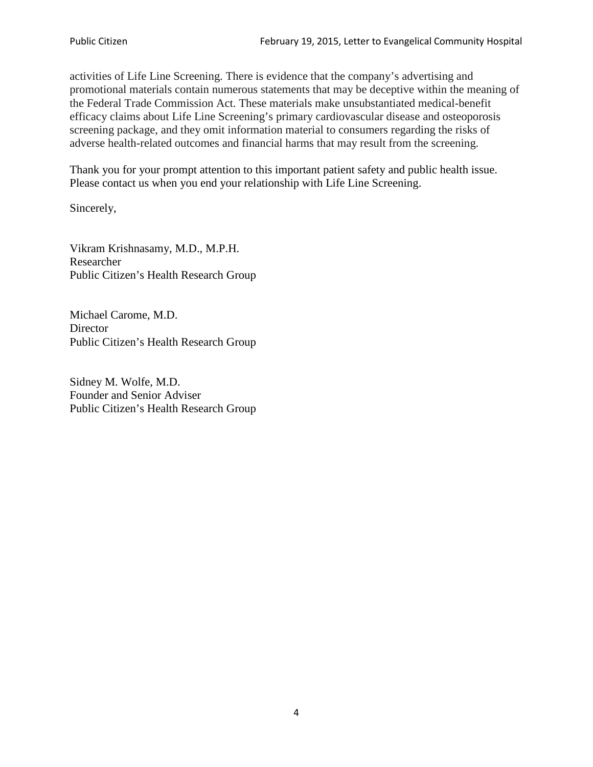activities of Life Line Screening. There is evidence that the company's advertising and promotional materials contain numerous statements that may be deceptive within the meaning of the Federal Trade Commission Act. These materials make unsubstantiated medical-benefit efficacy claims about Life Line Screening's primary cardiovascular disease and osteoporosis screening package, and they omit information material to consumers regarding the risks of adverse health-related outcomes and financial harms that may result from the screening.

Thank you for your prompt attention to this important patient safety and public health issue. Please contact us when you end your relationship with Life Line Screening.

Sincerely,

Vikram Krishnasamy, M.D., M.P.H. Researcher Public Citizen's Health Research Group

Michael Carome, M.D. **Director** Public Citizen's Health Research Group

Sidney M. Wolfe, M.D. Founder and Senior Adviser Public Citizen's Health Research Group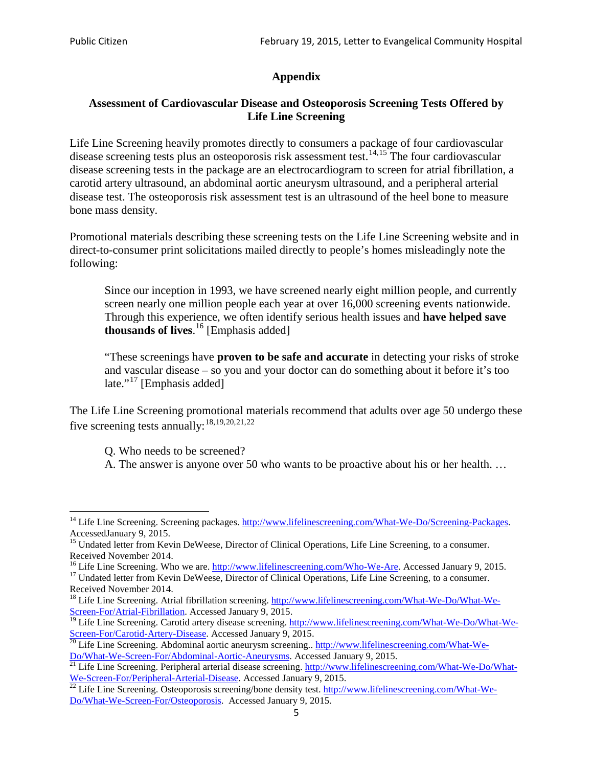# **Appendix**

## **Assessment of Cardiovascular Disease and Osteoporosis Screening Tests Offered by Life Line Screening**

Life Line Screening heavily promotes directly to consumers a package of four cardiovascular disease screening tests plus an osteoporosis risk assessment test.<sup>[14](#page-4-0),[15](#page-4-1)</sup> The four cardiovascular disease screening tests in the package are an electrocardiogram to screen for atrial fibrillation, a carotid artery ultrasound, an abdominal aortic aneurysm ultrasound, and a peripheral arterial disease test. The osteoporosis risk assessment test is an ultrasound of the heel bone to measure bone mass density.

Promotional materials describing these screening tests on the Life Line Screening website and in direct-to-consumer print solicitations mailed directly to people's homes misleadingly note the following:

Since our inception in 1993, we have screened nearly eight million people, and currently screen nearly one million people each year at over 16,000 screening events nationwide. Through this experience, we often identify serious health issues and **have helped save thousands of lives**. [16](#page-4-2) [Emphasis added]

"These screenings have **proven to be safe and accurate** in detecting your risks of stroke and vascular disease – so you and your doctor can do something about it before it's too late."<sup>[17](#page-4-3)</sup> [Emphasis added]

The Life Line Screening promotional materials recommend that adults over age 50 undergo these five screening tests annually:<sup>[18](#page-4-4),[19,](#page-4-5)[20,](#page-4-6)[21](#page-4-7),[22](#page-4-8)</sup>

Q. Who needs to be screened?

A. The answer is anyone over 50 who wants to be proactive about his or her health. …

<span id="page-4-0"></span><sup>&</sup>lt;sup>14</sup> Life Line Screening. Screening packages. [http://www.lifelinescreening.com/What-We-Do/Screening-Packages.](http://www.lifelinescreening.com/What-We-Do/Screening-Packages) AccessedJanuary 9, 2015.

<span id="page-4-1"></span><sup>&</sup>lt;sup>15</sup> Undated letter from Kevin DeWeese, Director of Clinical Operations, Life Line Screening, to a consumer.

Received November 2014.<br><sup>16</sup> Life Line Screening. Who we are. http://www.lifelinescreening.com/Who-We-Are. Accessed January 9, 2015.

<span id="page-4-3"></span><span id="page-4-2"></span><sup>&</sup>lt;sup>17</sup> Undated letter from Kevin DeWeese, Director of Clinical Operations, Life Line Screening, to a consumer. Received November 2014.

<span id="page-4-4"></span><sup>&</sup>lt;sup>18</sup> Life Line Screening. Atrial fibrillation screening. [http://www.lifelinescreening.com/What-We-Do/What-We-](http://www.lifelinescreening.com/What-We-Do/What-We-Screen-For/Atrial-Fibrillation)[Screen-For/Atrial-Fibrillation.](http://www.lifelinescreening.com/What-We-Do/What-We-Screen-For/Atrial-Fibrillation) Accessed January 9, 2015.

<sup>&</sup>lt;sup>19</sup> Life Line Screening. Carotid artery disease screening. [http://www.lifelinescreening.com/What-We-Do/What-We-](http://www.lifelinescreening.com/What-We-Do/What-We-Screen-For/Carotid-Artery-Disease)

<span id="page-4-6"></span><span id="page-4-5"></span>[Screen-For/Carotid-Artery-Disease.](http://www.lifelinescreening.com/What-We-Do/What-We-Screen-For/Carotid-Artery-Disease) Accessed January 9, 2015.<br><sup>20</sup> Life Line Screening. Abdominal aortic aneurysm screening.. http://www.lifelinescreening.com/What-We-Do/What-We-Do/What-We-Screen-For/Abdominal-Aortic-Aneury

<span id="page-4-7"></span><sup>&</sup>lt;sup>21</sup> Life Line Screening. Peripheral arterial disease screening. [http://www.lifelinescreening.com/What-We-Do/What-](http://www.lifelinescreening.com/What-We-Do/What-We-Screen-For/Peripheral-Arterial-Disease)

<span id="page-4-8"></span>[We-Screen-For/Peripheral-Arterial-Disease.](http://www.lifelinescreening.com/What-We-Do/What-We-Screen-For/Peripheral-Arterial-Disease) Accessed January 9, 2015.<br><sup>22</sup> Life Line Screening. Osteoporosis screening/bone density test. [http://www.lifelinescreening.com/What-We-](http://www.lifelinescreening.com/What-We-Do/What-We-Screen-For/Osteoporosis)[Do/What-We-Screen-For/Osteoporosis.](http://www.lifelinescreening.com/What-We-Do/What-We-Screen-For/Osteoporosis) Accessed January 9, 2015.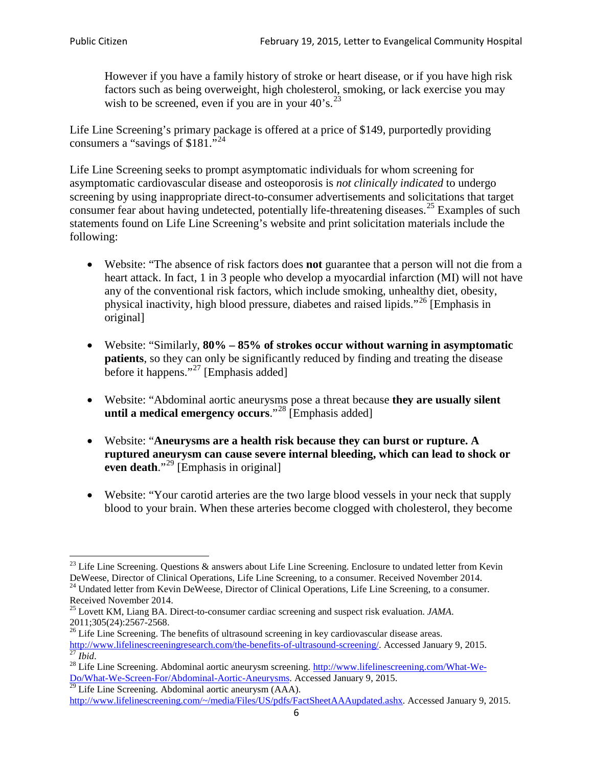However if you have a family history of stroke or heart disease, or if you have high risk factors such as being overweight, high cholesterol, smoking, or lack exercise you may wish to be screened, even if you are in your  $40^\circ$ s.<sup>[23](#page-5-0)</sup>

Life Line Screening's primary package is offered at a price of \$149, purportedly providing consumers a "savings of \$181."<sup>[24](#page-5-1)</sup>

Life Line Screening seeks to prompt asymptomatic individuals for whom screening for asymptomatic cardiovascular disease and osteoporosis is *not clinically indicated* to undergo screening by using inappropriate direct-to-consumer advertisements and solicitations that target consumer fear about having undetected, potentially life-threatening diseases.<sup>[25](#page-5-2)</sup> Examples of such statements found on Life Line Screening's website and print solicitation materials include the following:

- Website: "The absence of risk factors does **not** guarantee that a person will not die from a heart attack. In fact, 1 in 3 people who develop a myocardial infarction (MI) will not have any of the conventional risk factors, which include smoking, unhealthy diet, obesity, physical inactivity, high blood pressure, diabetes and raised lipids."[26](#page-5-3) [Emphasis in original]
- Website: "Similarly, **80% – 85% of strokes occur without warning in asymptomatic patients**, so they can only be significantly reduced by finding and treating the disease before it happens."<sup>[27](#page-5-4)</sup> [Emphasis added]
- Website: "Abdominal aortic aneurysms pose a threat because **they are usually silent until a medical emergency occurs**."[28](#page-5-5) [Emphasis added]
- Website: "**Aneurysms are a health risk because they can burst or rupture. A ruptured aneurysm can cause severe internal bleeding, which can lead to shock or even death.**"<sup>[29](#page-5-6)</sup> [Emphasis in original]
- Website: "Your carotid arteries are the two large blood vessels in your neck that supply blood to your brain. When these arteries become clogged with cholesterol, they become

<span id="page-5-0"></span><sup>&</sup>lt;sup>23</sup> Life Line Screening. Questions  $\&$  answers about Life Line Screening. Enclosure to undated letter from Kevin DeWeese, Director of Clinical Operations, Life Line Screening, to a consumer. Received November 2014.

<span id="page-5-1"></span><sup>&</sup>lt;sup>24</sup> Undated letter from Kevin DeWeese, Director of Clinical Operations, Life Line Screening, to a consumer. Received November 2014.

<span id="page-5-2"></span><sup>25</sup> Lovett KM, Liang BA. Direct-to-consumer cardiac screening and suspect risk evaluation. *JAMA*.  $2011;305(24):2567-2568$ .<br><sup>26</sup> Life Line Screening. The benefits of ultrasound screening in key cardiovascular disease areas.

<span id="page-5-3"></span>[http://www.lifelinescreeningresearch.com/the-benefits-of-ultrasound-screening/.](http://www.lifelinescreeningresearch.com/the-benefits-of-ultrasound-screening/) Accessed January 9, 2015.<br><sup>28</sup> Life Line Screening. Abdominal aortic aneurysm screening. http://www.lifelinescreening.com/What-We-<br><sup>28</sup> Life L

<span id="page-5-5"></span><span id="page-5-4"></span>[Do/What-We-Screen-For/Abdominal-Aortic-Aneurysms.](http://www.lifelinescreening.com/What-We-Do/What-We-Screen-For/Abdominal-Aortic-Aneurysms) Accessed January 9, 2015. <sup>29</sup> Life Line Screening. Abdominal aortic aneurysm (AAA).

<span id="page-5-6"></span>[http://www.lifelinescreening.com/~/media/Files/US/pdfs/FactSheetAAAupdated.ashx.](http://www.lifelinescreening.com/~/media/Files/US/pdfs/FactSheetAAAupdated.ashx) Accessed January 9, 2015.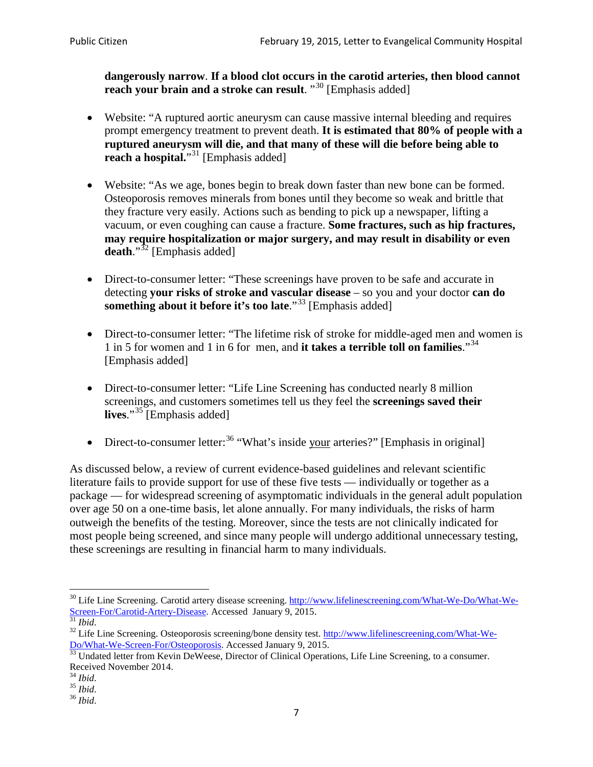**dangerously narrow**. **If a blood clot occurs in the carotid arteries, then blood cannot reach your brain and a stroke can result**. "<sup>[30](#page-6-0)</sup> [Emphasis added]

- Website: "A ruptured aortic aneurysm can cause massive internal bleeding and requires prompt emergency treatment to prevent death. **It is estimated that 80% of people with a ruptured aneurysm will die, and that many of these will die before being able to reach a hospital.**"<sup>[31](#page-6-1)</sup> [Emphasis added]
- Website: "As we age, bones begin to break down faster than new bone can be formed. Osteoporosis removes minerals from bones until they become so weak and brittle that they fracture very easily. Actions such as bending to pick up a newspaper, lifting a vacuum, or even coughing can cause a fracture. **Some fractures, such as hip fractures, may require hospitalization or major surgery, and may result in disability or even**  death."<sup>[32](#page-6-2)</sup> [Emphasis added]
- Direct-to-consumer letter: "These screenings have proven to be safe and accurate in detecting **your risks of stroke and vascular disease** – so you and your doctor **can do something about it before it's too late**."<sup>[33](#page-6-3)</sup> [Emphasis added]
- Direct-to-consumer letter: "The lifetime risk of stroke for middle-aged men and women is 1 in 5 for women and 1 in 6 for men, and **it takes a terrible toll on families**."[34](#page-6-4) [Emphasis added]
- Direct-to-consumer letter: "Life Line Screening has conducted nearly 8 million screenings, and customers sometimes tell us they feel the **screenings saved their lives**."[35](#page-6-5) [Emphasis added]
- Direct-to-consumer letter:  $36$  "What's inside your arteries?" [Emphasis in original]

As discussed below, a review of current evidence-based guidelines and relevant scientific literature fails to provide support for use of these five tests — individually or together as a package — for widespread screening of asymptomatic individuals in the general adult population over age 50 on a one-time basis, let alone annually. For many individuals, the risks of harm outweigh the benefits of the testing. Moreover, since the tests are not clinically indicated for most people being screened, and since many people will undergo additional unnecessary testing, these screenings are resulting in financial harm to many individuals.

<span id="page-6-0"></span><sup>&</sup>lt;sup>30</sup> Life Line Screening. Carotid artery disease screening. [http://www.lifelinescreening.com/What-We-Do/What-We-](http://www.lifelinescreening.com/What-We-Do/What-We-Screen-For/Carotid-Artery-Disease)[Screen-For/Carotid-Artery-Disease.](http://www.lifelinescreening.com/What-We-Do/What-We-Screen-For/Carotid-Artery-Disease) Accessed January 9, 2015.<br><sup>31</sup> *Ibid.* 32 Life Line Screening. Osteoporosis screening/bone density test. [http://www.lifelinescreening.com/What-We-](http://www.lifelinescreening.com/What-We-Do/What-We-Screen-For/Osteoporosis)

<span id="page-6-2"></span><span id="page-6-1"></span>[Do/What-We-Screen-For/Osteoporosis.](http://www.lifelinescreening.com/What-We-Do/What-We-Screen-For/Osteoporosis) Accessed January 9, 2015. <sup>33</sup> Undated letter from Kevin DeWeese, Director of Clinical Operations, Life Line Screening, to a consumer.

<span id="page-6-3"></span>Received November 2014.<br><sup>34</sup> Ibid.

<span id="page-6-4"></span>

<span id="page-6-5"></span><sup>34</sup> *Ibid*. 35 *Ibid*. 36 *Ibid*.

<span id="page-6-6"></span>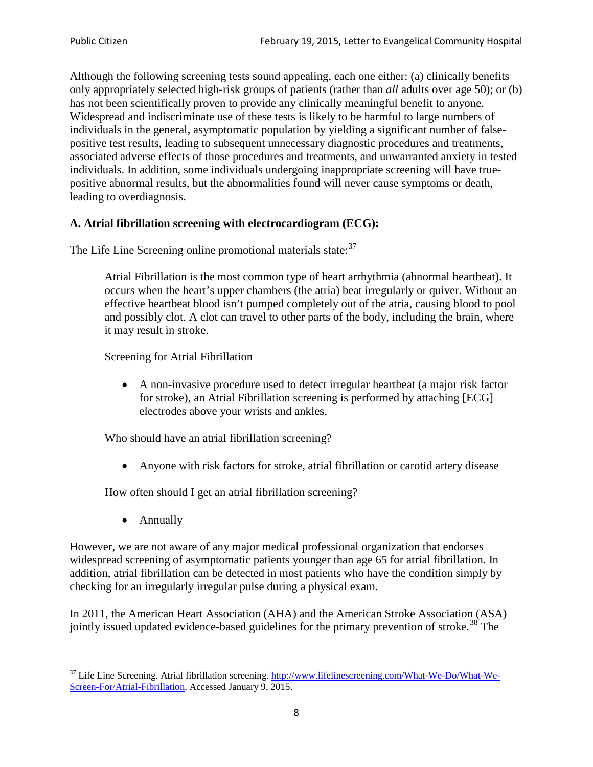Although the following screening tests sound appealing, each one either: (a) clinically benefits only appropriately selected high-risk groups of patients (rather than *all* adults over age 50); or (b) has not been scientifically proven to provide any clinically meaningful benefit to anyone. Widespread and indiscriminate use of these tests is likely to be harmful to large numbers of individuals in the general, asymptomatic population by yielding a significant number of falsepositive test results, leading to subsequent unnecessary diagnostic procedures and treatments, associated adverse effects of those procedures and treatments, and unwarranted anxiety in tested individuals. In addition, some individuals undergoing inappropriate screening will have truepositive abnormal results, but the abnormalities found will never cause symptoms or death, leading to overdiagnosis.

# **A. Atrial fibrillation screening with electrocardiogram (ECG):**

The Life Line Screening online promotional materials state:<sup>[37](#page-7-0)</sup>

Atrial Fibrillation is the most common type of heart arrhythmia (abnormal heartbeat). It occurs when the heart's upper chambers (the atria) beat irregularly or quiver. Without an effective heartbeat blood isn't pumped completely out of the atria, causing blood to pool and possibly clot. A clot can travel to other parts of the body, including the brain, where it may result in stroke.

Screening for Atrial Fibrillation

• A non-invasive procedure used to detect irregular heartbeat (a major risk factor for stroke), an Atrial Fibrillation screening is performed by attaching [ECG] electrodes above your wrists and ankles.

Who should have an atrial fibrillation screening?

• Anyone with risk factors for stroke, atrial fibrillation or carotid artery disease

How often should I get an atrial fibrillation screening?

• Annually

<span id="page-7-1"></span>However, we are not aware of any major medical professional organization that endorses widespread screening of asymptomatic patients younger than age 65 for atrial fibrillation. In addition, atrial fibrillation can be detected in most patients who have the condition simply by checking for an irregularly irregular pulse during a physical exam.

In 2011, the American Heart Association (AHA) and the American Stroke Association (ASA) jointly issued updated evidence-based guidelines for the primary prevention of stroke.<sup>[38](#page-7-1)</sup> The

<span id="page-7-0"></span><sup>&</sup>lt;sup>37</sup> Life Line Screening. Atrial fibrillation screening. [http://www.lifelinescreening.com/What-We-Do/What-We-](http://www.lifelinescreening.com/What-We-Do/What-We-Screen-For/Atrial-Fibrillation)[Screen-For/Atrial-Fibrillation.](http://www.lifelinescreening.com/What-We-Do/What-We-Screen-For/Atrial-Fibrillation) Accessed January 9, 2015.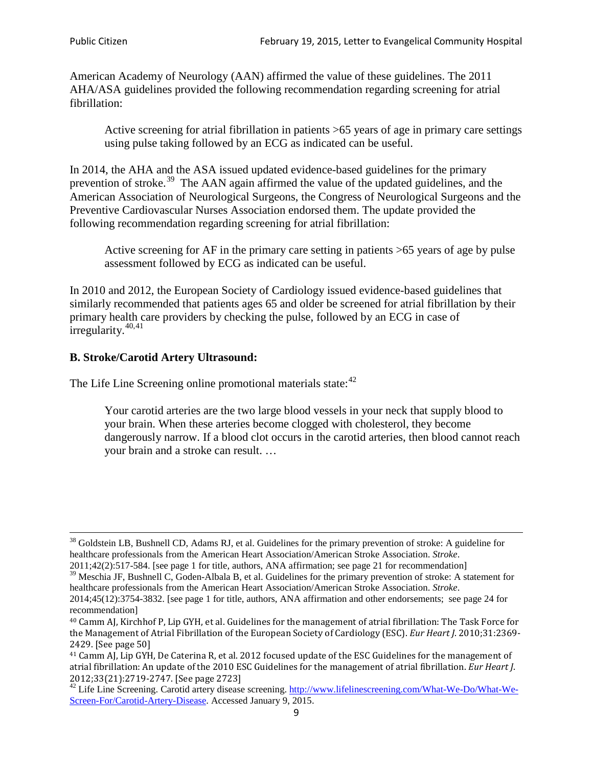American Academy of Neurology (AAN) affirmed the value of these guidelines. The 2011 AHA/ASA guidelines provided the following recommendation regarding screening for atrial fibrillation:

Active screening for atrial fibrillation in patients >65 years of age in primary care settings using pulse taking followed by an ECG as indicated can be useful.

In 2014, the AHA and the ASA issued updated evidence-based guidelines for the primary prevention of stroke.<sup>[39](#page-8-0)</sup> The AAN again affirmed the value of the updated guidelines, and the American Association of Neurological Surgeons, the Congress of Neurological Surgeons and the Preventive Cardiovascular Nurses Association endorsed them. The update provided the following recommendation regarding screening for atrial fibrillation:

Active screening for AF in the primary care setting in patients >65 years of age by pulse assessment followed by ECG as indicated can be useful.

In 2010 and 2012, the European Society of Cardiology issued evidence-based guidelines that similarly recommended that patients ages 65 and older be screened for atrial fibrillation by their primary health care providers by checking the pulse, followed by an ECG in case of irregularity. $40,41$  $40,41$ 

# **B. Stroke/Carotid Artery Ultrasound:**

The Life Line Screening online promotional materials state:<sup>[42](#page-8-3)</sup>

Your carotid arteries are the two large blood vessels in your neck that supply blood to your brain. When these arteries become clogged with cholesterol, they become dangerously narrow. If a blood clot occurs in the carotid arteries, then blood cannot reach your brain and a stroke can result. …

<sup>&</sup>lt;sup>38</sup> Goldstein LB, Bushnell CD, Adams RJ, et al. Guidelines for the primary prevention of stroke: A guideline for healthcare professionals from the American Heart Association/American Stroke Association. *Stroke*.

<sup>2011;42(2):517-584.</sup> [see page 1 for title, authors, ANA affirmation; see page 21 for recommendation]

<span id="page-8-0"></span> $\frac{2011,42(2)(317,601)}{39}$  Meschia JF, Bushnell C, Goden-Albala B, et al. Guidelines for the primary prevention of stroke: A statement for healthcare professionals from the American Heart Association/American Stroke Association. *Stroke*.

<sup>2014;45(12):3754-3832.</sup> [see page 1 for title, authors, ANA affirmation and other endorsements; see page 24 for recommendation]

<span id="page-8-1"></span><sup>40</sup> Camm AJ, Kirchhof P, Lip GYH, et al. Guidelines for the management of atrial fibrillation: The Task Force for the Management of Atrial Fibrillation of the European Society of Cardiology (ESC). *Eur Heart J*. 2010;31:2369- 2429. [See page 50]

<span id="page-8-2"></span><sup>41</sup> Camm AJ, Lip GYH, De Caterina R, et al. 2012 focused update of the ESC Guidelines for the management of atrial fibrillation: An update of the 2010 ESC Guidelines for the management of atrial fibrillation. *Eur Heart J*.

<span id="page-8-3"></span><sup>&</sup>lt;sup>2012</sup>;23(21):2719-2747. [See page 2733] 42 Life Line Screening. [http://www.lifelinescreening.com/What-We-Do/What-We-](http://www.lifelinescreening.com/What-We-Do/What-We-Screen-For/Carotid-Artery-Disease)[Screen-For/Carotid-Artery-Disease.](http://www.lifelinescreening.com/What-We-Do/What-We-Screen-For/Carotid-Artery-Disease) Accessed January 9, 2015.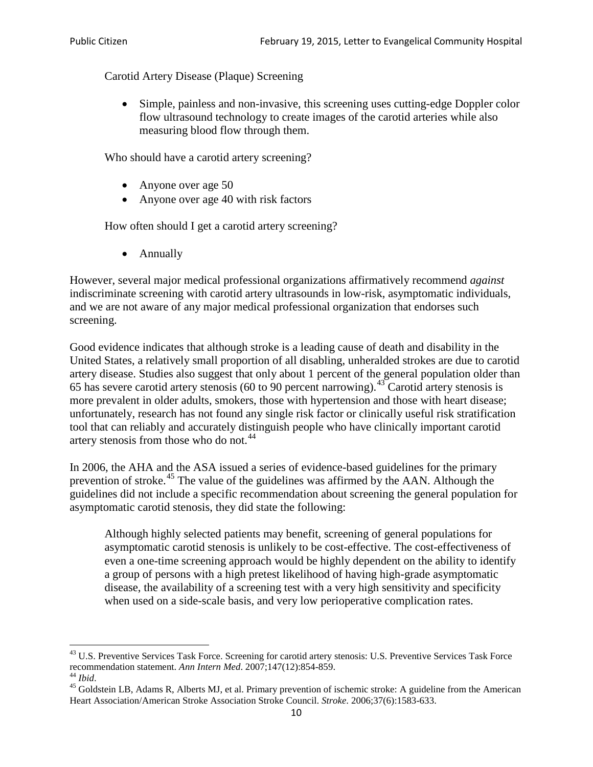Carotid Artery Disease (Plaque) Screening

• Simple, painless and non-invasive, this screening uses cutting-edge Doppler color flow ultrasound technology to create images of the carotid arteries while also measuring blood flow through them.

Who should have a carotid artery screening?

- Anyone over age 50
- Anyone over age 40 with risk factors

How often should I get a carotid artery screening?

• Annually

However, several major medical professional organizations affirmatively recommend *against* indiscriminate screening with carotid artery ultrasounds in low-risk, asymptomatic individuals, and we are not aware of any major medical professional organization that endorses such screening.

Good evidence indicates that although stroke is a leading cause of death and disability in the United States, a relatively small proportion of all disabling, unheralded strokes are due to carotid artery disease. Studies also suggest that only about 1 percent of the general population older than 65 has severe carotid artery stenosis (60 to 90 percent narrowing).<sup>[43](#page-9-0)</sup> Carotid artery stenosis is more prevalent in older adults, smokers, those with hypertension and those with heart disease; unfortunately, research has not found any single risk factor or clinically useful risk stratification tool that can reliably and accurately distinguish people who have clinically important carotid artery stenosis from those who do not.<sup>[44](#page-9-1)</sup>

In 2006, the AHA and the ASA issued a series of evidence-based guidelines for the primary prevention of stroke.<sup>[45](#page-9-2)</sup> The value of the guidelines was affirmed by the AAN. Although the guidelines did not include a specific recommendation about screening the general population for asymptomatic carotid stenosis, they did state the following:

Although highly selected patients may benefit, screening of general populations for asymptomatic carotid stenosis is unlikely to be cost-effective. The cost-effectiveness of even a one-time screening approach would be highly dependent on the ability to identify a group of persons with a high pretest likelihood of having high-grade asymptomatic disease, the availability of a screening test with a very high sensitivity and specificity when used on a side-scale basis, and very low perioperative complication rates.

<span id="page-9-0"></span> $^{43}$  U.S. Preventive Services Task Force. Screening for carotid artery stenosis: U.S. Preventive Services Task Force recommendation statement. Ann Intern Med. 2007;147(12):854-859.

<span id="page-9-2"></span>

<span id="page-9-1"></span><sup>&</sup>lt;sup>44</sup> *Ibid*. <sup>45</sup> Goldstein LB, Adams R, Alberts MJ, et al. Primary prevention of ischemic stroke: A guideline from the American <sup>45</sup> Goldstein LB, Adams R, Alberts MJ, et al. Primary prevention of ischemic stroke: A guide Heart Association/American Stroke Association Stroke Council. *Stroke*. 2006;37(6):1583-633.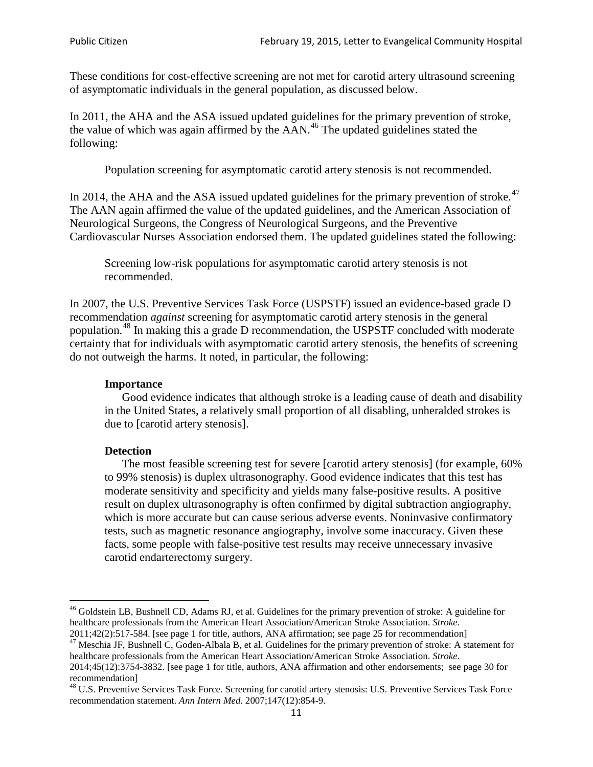These conditions for cost-effective screening are not met for carotid artery ultrasound screening of asymptomatic individuals in the general population, as discussed below.

In 2011, the AHA and the ASA issued updated guidelines for the primary prevention of stroke, the value of which was again affirmed by the  $AAN<sup>46</sup>$  $AAN<sup>46</sup>$  $AAN<sup>46</sup>$ . The updated guidelines stated the following:

Population screening for asymptomatic carotid artery stenosis is not recommended.

In 2014, the AHA and the ASA issued updated guidelines for the primary prevention of stroke.<sup>47</sup> The AAN again affirmed the value of the updated guidelines, and the American Association of Neurological Surgeons, the Congress of Neurological Surgeons, and the Preventive Cardiovascular Nurses Association endorsed them. The updated guidelines stated the following:

Screening low-risk populations for asymptomatic carotid artery stenosis is not recommended.

In 2007, the U.S. Preventive Services Task Force (USPSTF) issued an evidence-based grade D recommendation *against* screening for asymptomatic carotid artery stenosis in the general population.[48](#page-10-2) In making this a grade D recommendation, the USPSTF concluded with moderate certainty that for individuals with asymptomatic carotid artery stenosis, the benefits of screening do not outweigh the harms. It noted, in particular, the following:

#### **Importance**

Good evidence indicates that although stroke is a leading cause of death and disability in the United States, a relatively small proportion of all disabling, unheralded strokes is due to [carotid artery stenosis].

#### **Detection**

The most feasible screening test for severe [carotid artery stenosis] (for example, 60% to 99% stenosis) is duplex ultrasonography. Good evidence indicates that this test has moderate sensitivity and specificity and yields many false-positive results. A positive result on duplex ultrasonography is often confirmed by digital subtraction angiography, which is more accurate but can cause serious adverse events. Noninvasive confirmatory tests, such as magnetic resonance angiography, involve some inaccuracy. Given these facts, some people with false-positive test results may receive unnecessary invasive carotid endarterectomy surgery.

<span id="page-10-0"></span><sup>&</sup>lt;sup>46</sup> Goldstein LB, Bushnell CD, Adams RJ, et al. Guidelines for the primary prevention of stroke: A guideline for healthcare professionals from the American Heart Association/American Stroke Association. *Stroke*.<br>2011;42(2):517-584. [see page 1 for title, authors, ANA affirmation; see page 25 for recommendation]

<span id="page-10-1"></span><sup>&</sup>lt;sup>47</sup> Meschia JF, Bushnell C, Goden-Albala B, et al. Guidelines for the primary prevention of stroke: A statement for healthcare professionals from the American Heart Association/American Stroke Association. *Stroke*. 2014;45(12):3754-3832. [see page 1 for title, authors, ANA affirmation and other endorsements; see page 30 for

recommendation]

<span id="page-10-2"></span><sup>&</sup>lt;sup>48</sup> U.S. Preventive Services Task Force. Screening for carotid artery stenosis: U.S. Preventive Services Task Force recommendation statement. *Ann Intern Med*. 2007;147(12):854-9.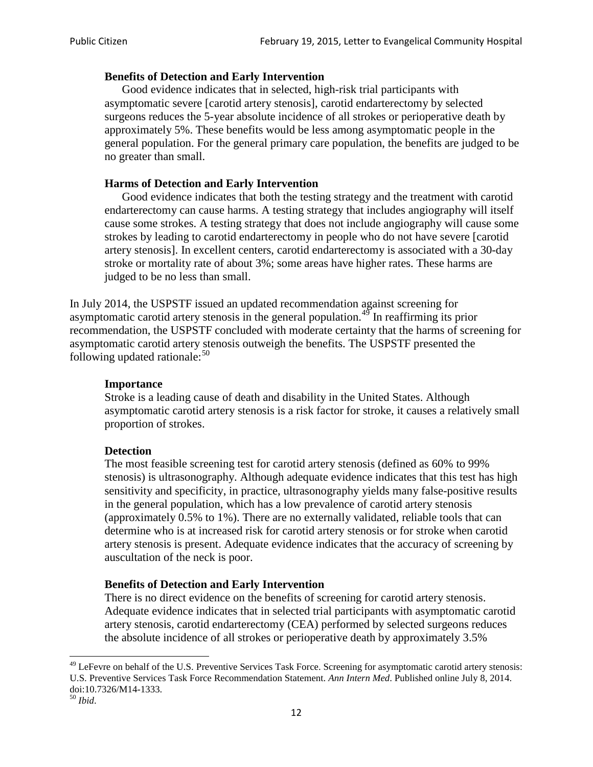#### **Benefits of Detection and Early Intervention**

Good evidence indicates that in selected, high-risk trial participants with asymptomatic severe [carotid artery stenosis], carotid endarterectomy by selected surgeons reduces the 5-year absolute incidence of all strokes or perioperative death by approximately 5%. These benefits would be less among asymptomatic people in the general population. For the general primary care population, the benefits are judged to be no greater than small.

### **Harms of Detection and Early Intervention**

Good evidence indicates that both the testing strategy and the treatment with carotid endarterectomy can cause harms. A testing strategy that includes angiography will itself cause some strokes. A testing strategy that does not include angiography will cause some strokes by leading to carotid endarterectomy in people who do not have severe [carotid artery stenosis]. In excellent centers, carotid endarterectomy is associated with a 30-day stroke or mortality rate of about 3%; some areas have higher rates. These harms are judged to be no less than small.

In July 2014, the USPSTF issued an updated recommendation against screening for asymptomatic carotid artery stenosis in the general population.<sup>[49](#page-11-0)</sup> In reaffirming its prior recommendation, the USPSTF concluded with moderate certainty that the harms of screening for asymptomatic carotid artery stenosis outweigh the benefits. The USPSTF presented the following updated rationale: $50$ 

#### **Importance**

Stroke is a leading cause of death and disability in the United States. Although asymptomatic carotid artery stenosis is a risk factor for stroke, it causes a relatively small proportion of strokes.

#### **Detection**

The most feasible screening test for carotid artery stenosis (defined as 60% to 99% stenosis) is ultrasonography. Although adequate evidence indicates that this test has high sensitivity and specificity, in practice, ultrasonography yields many false-positive results in the general population, which has a low prevalence of carotid artery stenosis (approximately 0.5% to 1%). There are no externally validated, reliable tools that can determine who is at increased risk for carotid artery stenosis or for stroke when carotid artery stenosis is present. Adequate evidence indicates that the accuracy of screening by auscultation of the neck is poor.

## **Benefits of Detection and Early Intervention**

There is no direct evidence on the benefits of screening for carotid artery stenosis. Adequate evidence indicates that in selected trial participants with asymptomatic carotid artery stenosis, carotid endarterectomy (CEA) performed by selected surgeons reduces the absolute incidence of all strokes or perioperative death by approximately 3.5%

<span id="page-11-0"></span><sup>&</sup>lt;sup>49</sup> LeFevre on behalf of the U.S. Preventive Services Task Force. Screening for asymptomatic carotid artery stenosis: U.S. Preventive Services Task Force Recommendation Statement. *Ann Intern Med*. Published online July 8, 2014. doi:10.7326/M14-1333. <sup>50</sup> *Ibid*.

<span id="page-11-1"></span>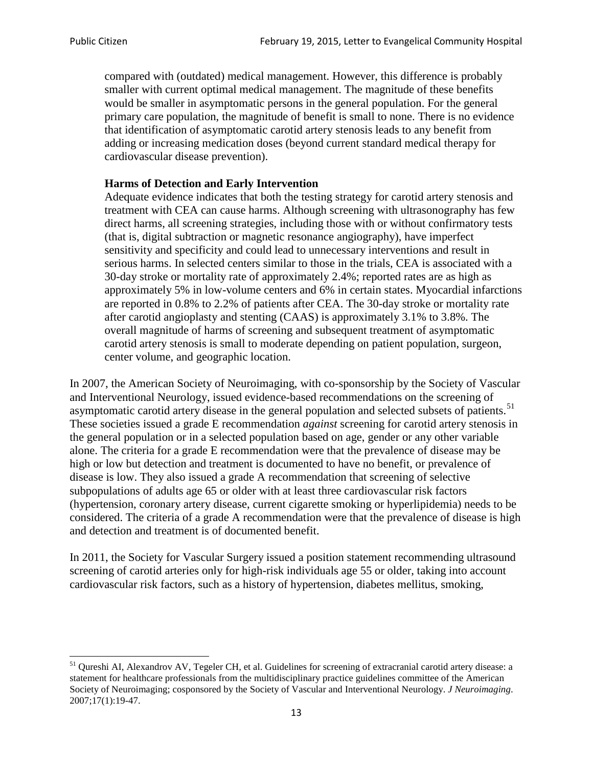compared with (outdated) medical management. However, this difference is probably smaller with current optimal medical management. The magnitude of these benefits would be smaller in asymptomatic persons in the general population. For the general primary care population, the magnitude of benefit is small to none. There is no evidence that identification of asymptomatic carotid artery stenosis leads to any benefit from adding or increasing medication doses (beyond current standard medical therapy for cardiovascular disease prevention).

## **Harms of Detection and Early Intervention**

Adequate evidence indicates that both the testing strategy for carotid artery stenosis and treatment with CEA can cause harms. Although screening with ultrasonography has few direct harms, all screening strategies, including those with or without confirmatory tests (that is, digital subtraction or magnetic resonance angiography), have imperfect sensitivity and specificity and could lead to unnecessary interventions and result in serious harms. In selected centers similar to those in the trials, CEA is associated with a 30-day stroke or mortality rate of approximately 2.4%; reported rates are as high as approximately 5% in low-volume centers and 6% in certain states. Myocardial infarctions are reported in 0.8% to 2.2% of patients after CEA. The 30-day stroke or mortality rate after carotid angioplasty and stenting (CAAS) is approximately 3.1% to 3.8%. The overall magnitude of harms of screening and subsequent treatment of asymptomatic carotid artery stenosis is small to moderate depending on patient population, surgeon, center volume, and geographic location.

In 2007, the American Society of Neuroimaging, with co-sponsorship by the Society of Vascular and Interventional Neurology, issued evidence-based recommendations on the screening of asymptomatic carotid artery disease in the general population and selected subsets of patients.<sup>[51](#page-12-0)</sup> These societies issued a grade E recommendation *against* screening for carotid artery stenosis in the general population or in a selected population based on age, gender or any other variable alone. The criteria for a grade E recommendation were that the prevalence of disease may be high or low but detection and treatment is documented to have no benefit, or prevalence of disease is low. They also issued a grade A recommendation that screening of selective subpopulations of adults age 65 or older with at least three cardiovascular risk factors (hypertension, coronary artery disease, current cigarette smoking or hyperlipidemia) needs to be considered. The criteria of a grade A recommendation were that the prevalence of disease is high and detection and treatment is of documented benefit.

In 2011, the Society for Vascular Surgery issued a position statement recommending ultrasound screening of carotid arteries only for high-risk individuals age 55 or older, taking into account cardiovascular risk factors, such as a history of hypertension, diabetes mellitus, smoking,

<span id="page-12-0"></span><sup>&</sup>lt;sup>51</sup> Qureshi AI, Alexandrov AV, Tegeler CH, et al. Guidelines for screening of extracranial carotid artery disease: a statement for healthcare professionals from the multidisciplinary practice guidelines committee of the American Society of Neuroimaging; cosponsored by the Society of Vascular and Interventional Neurology. *J Neuroimaging*. 2007;17(1):19-47.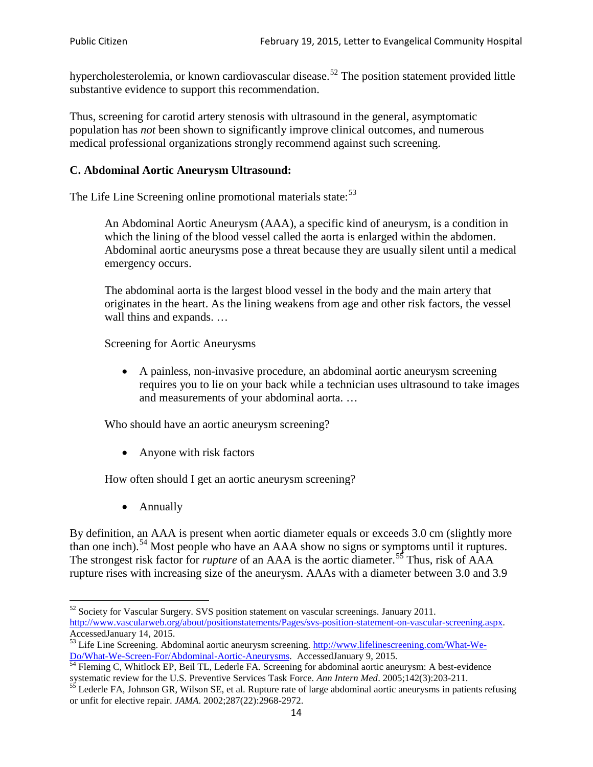hypercholesterolemia, or known cardiovascular disease.<sup>[52](#page-13-0)</sup> The position statement provided little substantive evidence to support this recommendation.

Thus, screening for carotid artery stenosis with ultrasound in the general, asymptomatic population has *not* been shown to significantly improve clinical outcomes, and numerous medical professional organizations strongly recommend against such screening.

### **C. Abdominal Aortic Aneurysm Ultrasound:**

The Life Line Screening online promotional materials state:<sup>[53](#page-13-1)</sup>

An Abdominal Aortic Aneurysm (AAA), a specific kind of aneurysm, is a condition in which the lining of the blood vessel called the aorta is enlarged within the abdomen. Abdominal aortic aneurysms pose a threat because they are usually silent until a medical emergency occurs.

The abdominal aorta is the largest blood vessel in the body and the main artery that originates in the heart. As the lining weakens from age and other risk factors, the vessel wall thins and expands. …

Screening for Aortic Aneurysms

• A painless, non-invasive procedure, an abdominal aortic aneurysm screening requires you to lie on your back while a technician uses ultrasound to take images and measurements of your abdominal aorta. …

Who should have an aortic aneurysm screening?

• Anyone with risk factors

How often should I get an aortic aneurysm screening?

• Annually

By definition, an AAA is present when aortic diameter equals or exceeds 3.0 cm (slightly more than one inch).<sup>[54](#page-13-2)</sup> Most people who have an AAA show no signs or symptoms until it ruptures. The strongest risk factor for *rupture* of an AAA is the aortic diameter.<sup>[55](#page-13-3)</sup> Thus, risk of AAA rupture rises with increasing size of the aneurysm. AAAs with a diameter between 3.0 and 3.9

<span id="page-13-0"></span> $52$  Society for Vascular Surgery. SVS position statement on vascular screenings. January 2011. http://www.vascularweb.org/about/positionstatements/Pages/svs-position-statement-on-vascular-screening.aspx.<br>Accessed January 14, 2015.

<span id="page-13-1"></span>Accessed Line Screening. Abdominal aortic aneurysm screening. http://www.lifelinescreening.com/What-We-<br>Do/What-We-Screen-For/Abdominal-Aortic-Aneurysms. Accessed January 9, 2015.

<span id="page-13-2"></span> $\frac{1}{54}$  Fleming C, Whitlock EP, Beil TL, Lederle FA. Screening for abdominal aortic aneurysm: A best-evidence systematic review for the U.S. Preventive Services Task Force. *Ann Intern Med.* 2005;142(3):203-211.<br><sup>55</sup> Lederle FA, Johnson GR, Wilson SE, et al. Rupture rate of large abdominal aortic aneurysms in patients refusing

<span id="page-13-3"></span>or unfit for elective repair. *JAMA*. 2002;287(22):2968-2972.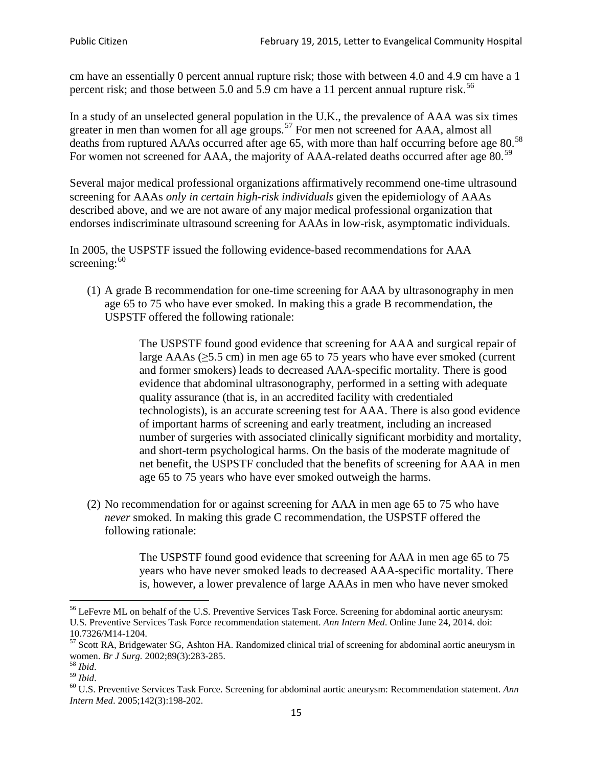cm have an essentially 0 percent annual rupture risk; those with between 4.0 and 4.9 cm have a 1 percent risk; and those between 5.0 and 5.9 cm have a 11 percent annual rupture risk.<sup>[56](#page-14-0)</sup>

In a study of an unselected general population in the U.K., the prevalence of AAA was six times greater in men than women for all age groups.<sup>[57](#page-14-1)</sup> For men not screened for  $AAA$ , almost all deaths from ruptured AAAs occurred after age 65, with more than half occurring before age 80.<sup>[58](#page-14-2)</sup> For women not screened for AAA, the majority of AAA-related deaths occurred after age 80.<sup>[59](#page-14-3)</sup>

Several major medical professional organizations affirmatively recommend one-time ultrasound screening for AAAs *only in certain high-risk individuals* given the epidemiology of AAAs described above, and we are not aware of any major medical professional organization that endorses indiscriminate ultrasound screening for AAAs in low-risk, asymptomatic individuals.

In 2005, the USPSTF issued the following evidence-based recommendations for AAA screening: $60$ 

(1) A grade B recommendation for one-time screening for AAA by ultrasonography in men age 65 to 75 who have ever smoked. In making this a grade [B recommendation,](http://www.uspreventiveservicestaskforce.org/uspstf/gradespre.htm#brec) the USPSTF offered the following rationale:

> The USPSTF found good evidence that screening for AAA and surgical repair of large AAAs ( $\geq$ 5.5 cm) in men age 65 to 75 years who have ever smoked (current and former smokers) leads to decreased AAA-specific mortality. There is good evidence that abdominal ultrasonography, performed in a setting with adequate quality assurance (that is, in an accredited facility with credentialed technologists), is an accurate screening test for AAA. There is also good evidence of important harms of screening and early treatment, including an increased number of surgeries with associated clinically significant morbidity and mortality, and short-term psychological harms. On the basis of the moderate magnitude of net benefit, the USPSTF concluded that the benefits of screening for AAA in men age 65 to 75 years who have ever smoked outweigh the harms.

(2) No recommendation for or against screening for AAA in men age 65 to 75 who have *never* smoked. In making this grade C recommendation, the USPSTF offered the following rationale:

> The USPSTF found good evidence that screening for AAA in men age 65 to 75 years who have never smoked leads to decreased AAA-specific mortality. There is, however, a lower prevalence of large AAAs in men who have never smoked

<span id="page-14-0"></span><sup>&</sup>lt;sup>56</sup> LeFevre ML on behalf of the U.S. Preventive Services Task Force. Screening for abdominal aortic aneurysm: U.S. Preventive Services Task Force recommendation statement. *Ann Intern Med*. Online June 24, 2014. doi:

<span id="page-14-1"></span><sup>10.7326/</sup>M14-1204.<br> $57$  Scott RA, Bridgewater SG, Ashton HA. Randomized clinical trial of screening for abdominal aortic aneurysm in women. *Br J Surg.* 2002;89(3):283-285.

<span id="page-14-4"></span><span id="page-14-3"></span>

<span id="page-14-2"></span><sup>&</sup>lt;sup>58</sup> *Ibid.*<br><sup>59</sup> *Ibid.* 2002;<br><sup>60</sup> U.S. Preventive Services Task Force. Screening for abdominal aortic aneurysm: Recommendation statement. *Ann Intern Med*. 2005;142(3):198-202.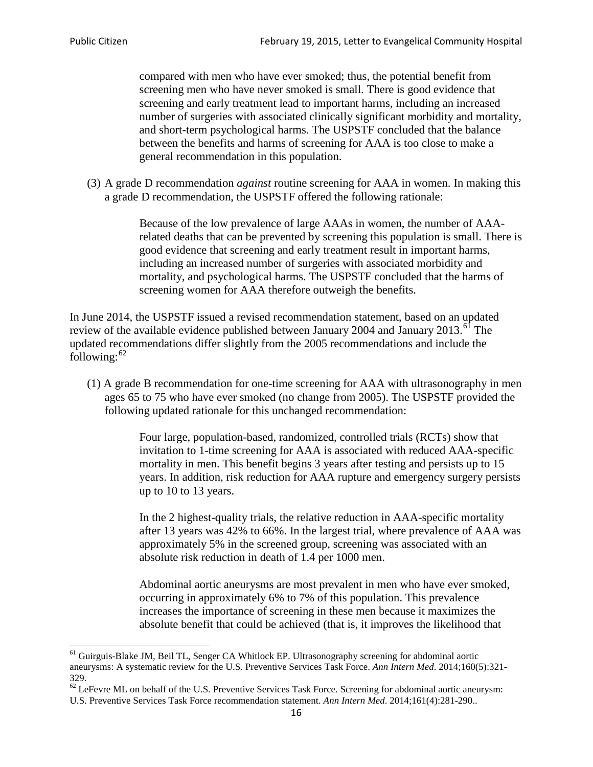compared with men who have ever smoked; thus, the potential benefit from screening men who have never smoked is small. There is good evidence that screening and early treatment lead to important harms, including an increased number of surgeries with associated clinically significant morbidity and mortality, and short-term psychological harms. The USPSTF concluded that the balance between the benefits and harms of screening for AAA is too close to make a general recommendation in this population.

(3) A grade D recommendation *against* routine screening for AAA in women. In making this a grade D recommendation, the USPSTF offered the following rationale:

> Because of the low prevalence of large AAAs in women, the number of AAArelated deaths that can be prevented by screening this population is small. There is good evidence that screening and early treatment result in important harms, including an increased number of surgeries with associated morbidity and mortality, and psychological harms. The USPSTF concluded that the harms of screening women for AAA therefore outweigh the benefits.

In June 2014, the USPSTF issued a revised recommendation statement, based on an updated review of the available evidence published between January 2004 and January 2013.<sup>[61](#page-15-0)</sup> The updated recommendations differ slightly from the 2005 recommendations and include the following: $62$ 

(1) A grade B recommendation for one-time screening for AAA with ultrasonography in men ages 65 to 75 who have ever smoked (no change from 2005). The USPSTF provided the following updated rationale for this unchanged recommendation:

> Four large, population-based, randomized, controlled trials (RCTs) show that invitation to 1-time screening for AAA is associated with reduced AAA-specific mortality in men. This benefit begins 3 years after testing and persists up to 15 years. In addition, risk reduction for AAA rupture and emergency surgery persists up to 10 to 13 years.

> In the 2 highest-quality trials, the relative reduction in AAA-specific mortality after 13 years was 42% to 66%. In the largest trial, where prevalence of AAA was approximately 5% in the screened group, screening was associated with an absolute risk reduction in death of 1.4 per 1000 men.

Abdominal aortic aneurysms are most prevalent in men who have ever smoked, occurring in approximately 6% to 7% of this population. This prevalence increases the importance of screening in these men because it maximizes the absolute benefit that could be achieved (that is, it improves the likelihood that

<span id="page-15-0"></span><sup>61</sup> Guirguis-Blake JM, Beil TL, Senger CA Whitlock EP. Ultrasonography screening for abdominal aortic aneurysms: A systematic review for the U.S. Preventive Services Task Force. *Ann Intern Med*. 2014;160(5):321- 329.

<span id="page-15-1"></span> $62$  LeFevre ML on behalf of the U.S. Preventive Services Task Force. Screening for abdominal aortic aneurysm: U.S. Preventive Services Task Force recommendation statement. *Ann Intern Med*. 2014;161(4):281-290..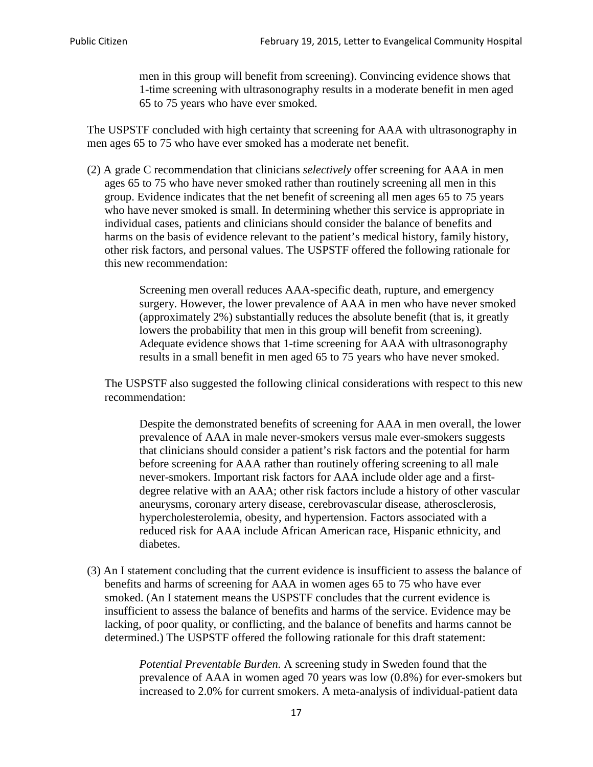men in this group will benefit from screening). Convincing evidence shows that 1-time screening with ultrasonography results in a moderate benefit in men aged 65 to 75 years who have ever smoked.

The USPSTF concluded with high certainty that screening for AAA with ultrasonography in men ages 65 to 75 who have ever smoked has a moderate net benefit.

(2) A grade C recommendation that clinicians *selectively* offer screening for AAA in men ages 65 to 75 who have never smoked rather than routinely screening all men in this group. Evidence indicates that the net benefit of screening all men ages 65 to 75 years who have never smoked is small. In determining whether this service is appropriate in individual cases, patients and clinicians should consider the balance of benefits and harms on the basis of evidence relevant to the patient's medical history, family history, other risk factors, and personal values. The USPSTF offered the following rationale for this new recommendation:

> Screening men overall reduces AAA-specific death, rupture, and emergency surgery. However, the lower prevalence of AAA in men who have never smoked (approximately 2%) substantially reduces the absolute benefit (that is, it greatly lowers the probability that men in this group will benefit from screening). Adequate evidence shows that 1-time screening for AAA with ultrasonography results in a small benefit in men aged 65 to 75 years who have never smoked.

The USPSTF also suggested the following clinical considerations with respect to this new recommendation:

Despite the demonstrated benefits of screening for AAA in men overall, the lower prevalence of AAA in male never-smokers versus male ever-smokers suggests that clinicians should consider a patient's risk factors and the potential for harm before screening for AAA rather than routinely offering screening to all male never-smokers. Important risk factors for AAA include older age and a firstdegree relative with an AAA; other risk factors include a history of other vascular aneurysms, coronary artery disease, cerebrovascular disease, atherosclerosis, hypercholesterolemia, obesity, and hypertension. Factors associated with a reduced risk for AAA include African American race, Hispanic ethnicity, and diabetes.

(3) An I statement concluding that the current evidence is insufficient to assess the balance of benefits and harms of screening for AAA in women ages 65 to 75 who have ever smoked. (An I statement means the USPSTF concludes that the current evidence is insufficient to assess the balance of benefits and harms of the service. Evidence may be lacking, of poor quality, or conflicting, and the balance of benefits and harms cannot be determined.) The USPSTF offered the following rationale for this draft statement:

> *Potential Preventable Burden.* A screening study in Sweden found that the prevalence of AAA in women aged 70 years was low (0.8%) for ever-smokers but increased to 2.0% for current smokers. A meta-analysis of individual-patient data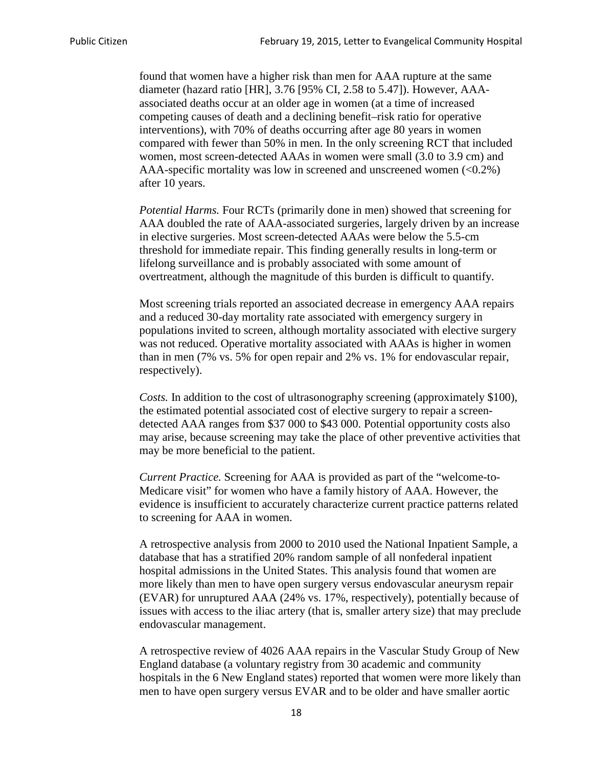found that women have a higher risk than men for AAA rupture at the same diameter (hazard ratio [HR], 3.76 [95% CI, 2.58 to 5.47]). However, AAAassociated deaths occur at an older age in women (at a time of increased competing causes of death and a declining benefit–risk ratio for operative interventions), with 70% of deaths occurring after age 80 years in women compared with fewer than 50% in men. In the only screening RCT that included women, most screen-detected AAAs in women were small (3.0 to 3.9 cm) and AAA-specific mortality was low in screened and unscreened women  $(<0.2\%)$ after 10 years.

*Potential Harms.* Four RCTs (primarily done in men) showed that screening for AAA doubled the rate of AAA-associated surgeries, largely driven by an increase in elective surgeries. Most screen-detected AAAs were below the 5.5-cm threshold for immediate repair. This finding generally results in long-term or lifelong surveillance and is probably associated with some amount of overtreatment, although the magnitude of this burden is difficult to quantify.

Most screening trials reported an associated decrease in emergency AAA repairs and a reduced 30-day mortality rate associated with emergency surgery in populations invited to screen, although mortality associated with elective surgery was not reduced. Operative mortality associated with AAAs is higher in women than in men (7% vs. 5% for open repair and 2% vs. 1% for endovascular repair, respectively).

*Costs.* In addition to the cost of ultrasonography screening (approximately \$100), the estimated potential associated cost of elective surgery to repair a screendetected AAA ranges from \$37 000 to \$43 000. Potential opportunity costs also may arise, because screening may take the place of other preventive activities that may be more beneficial to the patient.

*Current Practice.* Screening for AAA is provided as part of the "welcome-to-Medicare visit" for women who have a family history of AAA. However, the evidence is insufficient to accurately characterize current practice patterns related to screening for AAA in women.

A retrospective analysis from 2000 to 2010 used the National Inpatient Sample, a database that has a stratified 20% random sample of all nonfederal inpatient hospital admissions in the United States. This analysis found that women are more likely than men to have open surgery versus endovascular aneurysm repair (EVAR) for unruptured AAA (24% vs. 17%, respectively), potentially because of issues with access to the iliac artery (that is, smaller artery size) that may preclude endovascular management.

A retrospective review of 4026 AAA repairs in the Vascular Study Group of New England database (a voluntary registry from 30 academic and community hospitals in the 6 New England states) reported that women were more likely than men to have open surgery versus EVAR and to be older and have smaller aortic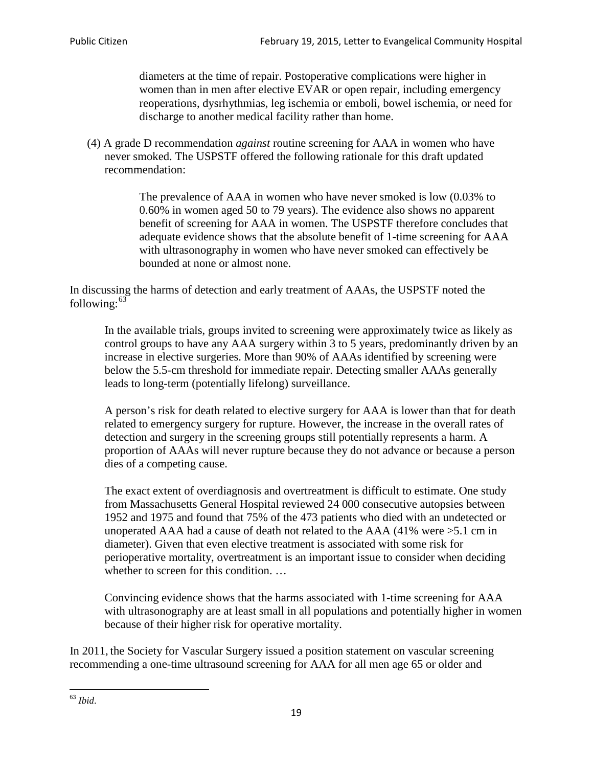diameters at the time of repair. Postoperative complications were higher in women than in men after elective EVAR or open repair, including emergency reoperations, dysrhythmias, leg ischemia or emboli, bowel ischemia, or need for discharge to another medical facility rather than home.

(4) A grade D recommendation *against* routine screening for AAA in women who have never smoked. The USPSTF offered the following rationale for this draft updated recommendation:

> The prevalence of AAA in women who have never smoked is low (0.03% to 0.60% in women aged 50 to 79 years). The evidence also shows no apparent benefit of screening for AAA in women. The USPSTF therefore concludes that adequate evidence shows that the absolute benefit of 1-time screening for AAA with ultrasonography in women who have never smoked can effectively be bounded at none or almost none.

In discussing the harms of detection and early treatment of AAAs, the USPSTF noted the following: $63$ 

In the available trials, groups invited to screening were approximately twice as likely as control groups to have any AAA surgery within 3 to 5 years, predominantly driven by an increase in elective surgeries. More than 90% of AAAs identified by screening were below the 5.5-cm threshold for immediate repair. Detecting smaller AAAs generally leads to long-term (potentially lifelong) surveillance.

A person's risk for death related to elective surgery for AAA is lower than that for death related to emergency surgery for rupture. However, the increase in the overall rates of detection and surgery in the screening groups still potentially represents a harm. A proportion of AAAs will never rupture because they do not advance or because a person dies of a competing cause.

The exact extent of overdiagnosis and overtreatment is difficult to estimate. One study from Massachusetts General Hospital reviewed 24 000 consecutive autopsies between 1952 and 1975 and found that 75% of the 473 patients who died with an undetected or unoperated AAA had a cause of death not related to the AAA (41% were >5.1 cm in diameter). Given that even elective treatment is associated with some risk for perioperative mortality, overtreatment is an important issue to consider when deciding whether to screen for this condition....

Convincing evidence shows that the harms associated with 1-time screening for AAA with ultrasonography are at least small in all populations and potentially higher in women because of their higher risk for operative mortality.

In 2011, the Society for Vascular Surgery issued a position statement on vascular screening recommending a one-time ultrasound screening for AAA for all men age 65 or older and

<span id="page-18-0"></span><sup>63</sup> *Ibid*.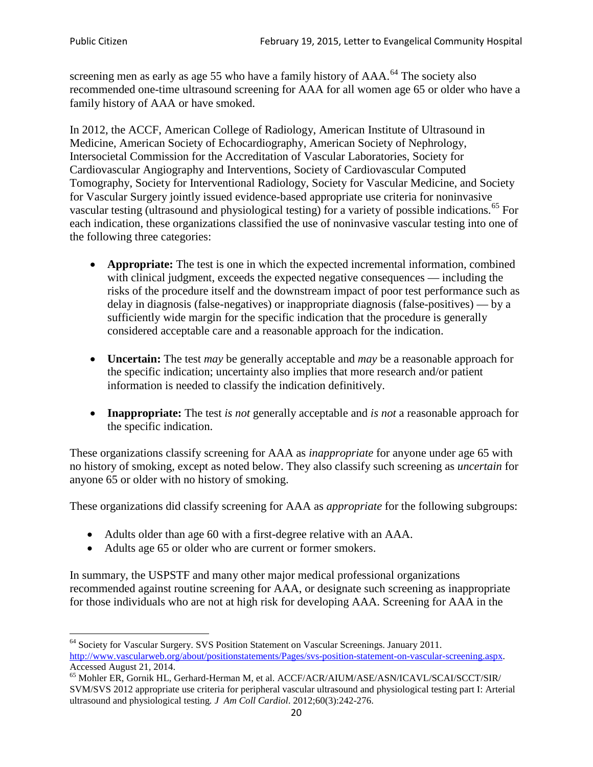screening men as early as age 55 who have a family history of AAA.<sup>[64](#page-19-0)</sup> The society also recommended one-time ultrasound screening for AAA for all women age 65 or older who have a family history of AAA or have smoked.

In 2012, the ACCF, American College of Radiology, American Institute of Ultrasound in Medicine, American Society of Echocardiography, American Society of Nephrology, Intersocietal Commission for the Accreditation of Vascular Laboratories, Society for Cardiovascular Angiography and Interventions, Society of Cardiovascular Computed Tomography, Society for Interventional Radiology, Society for Vascular Medicine, and Society for Vascular Surgery jointly issued evidence-based appropriate use criteria for noninvasive vascular testing (ultrasound and physiological testing) for a variety of possible indications.<sup>[65](#page-19-1)</sup> For each indication, these organizations classified the use of noninvasive vascular testing into one of the following three categories:

- **Appropriate:** The test is one in which the expected incremental information, combined with clinical judgment, exceeds the expected negative consequences — including the risks of the procedure itself and the downstream impact of poor test performance such as delay in diagnosis (false-negatives) or inappropriate diagnosis (false-positives) — by a sufficiently wide margin for the specific indication that the procedure is generally considered acceptable care and a reasonable approach for the indication.
- **Uncertain:** The test *may* be generally acceptable and *may* be a reasonable approach for the specific indication; uncertainty also implies that more research and/or patient information is needed to classify the indication definitively.
- **Inappropriate:** The test *is not* generally acceptable and *is not* a reasonable approach for the specific indication.

These organizations classify screening for AAA as *inappropriate* for anyone under age 65 with no history of smoking, except as noted below. They also classify such screening as *uncertain* for anyone 65 or older with no history of smoking.

These organizations did classify screening for AAA as *appropriate* for the following subgroups:

- Adults older than age 60 with a first-degree relative with an AAA.
- Adults age 65 or older who are current or former smokers.

In summary, the USPSTF and many other major medical professional organizations recommended against routine screening for AAA, or designate such screening as inappropriate for those individuals who are not at high risk for developing AAA. Screening for AAA in the

<span id="page-19-0"></span><sup>64</sup> Society for Vascular Surgery. SVS Position Statement on Vascular Screenings. January 2011. [http://www.vascularweb.org/about/positionstatements/Pages/svs-position-statement-on-vascular-screening.aspx.](http://www.vascularweb.org/about/positionstatements/Pages/svs-position-statement-on-vascular-screening.aspx) 

<span id="page-19-1"></span>Accessed August 21, 2014.<br><sup>65</sup> Mohler ER, Gornik HL, Gerhard-Herman M, et al. ACCF/ACR/AIUM/ASE/ASN/ICAVL/SCAI/SCCT/SIR/ SVM/SVS 2012 appropriate use criteria for peripheral vascular ultrasound and physiological testing part I: Arterial ultrasound and physiological testing*. J Am Coll Cardiol*. 2012;60(3):242-276.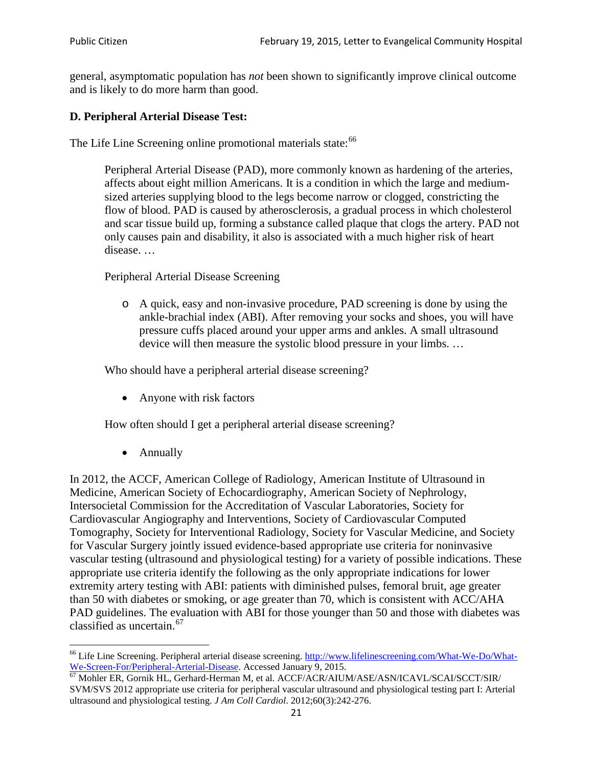general, asymptomatic population has *not* been shown to significantly improve clinical outcome and is likely to do more harm than good.

### **D. Peripheral Arterial Disease Test:**

The Life Line Screening online promotional materials state:<sup>[66](#page-20-0)</sup>

Peripheral Arterial Disease (PAD), more commonly known as hardening of the arteries, affects about eight million Americans. It is a condition in which the large and mediumsized arteries supplying blood to the legs become narrow or clogged, constricting the flow of blood. PAD is caused by atherosclerosis, a gradual process in which cholesterol and scar tissue build up, forming a substance called plaque that clogs the artery. PAD not only causes pain and disability, it also is associated with a much higher risk of heart disease. …

Peripheral Arterial Disease Screening

o A quick, easy and non-invasive procedure, PAD screening is done by using the ankle-brachial index (ABI). After removing your socks and shoes, you will have pressure cuffs placed around your upper arms and ankles. A small ultrasound device will then measure the systolic blood pressure in your limbs. …

Who should have a peripheral arterial disease screening?

• Anyone with risk factors

How often should I get a peripheral arterial disease screening?

• Annually

In 2012, the ACCF, American College of Radiology, American Institute of Ultrasound in Medicine, American Society of Echocardiography, American Society of Nephrology, Intersocietal Commission for the Accreditation of Vascular Laboratories, Society for Cardiovascular Angiography and Interventions, Society of Cardiovascular Computed Tomography, Society for Interventional Radiology, Society for Vascular Medicine, and Society for Vascular Surgery jointly issued evidence-based appropriate use criteria for noninvasive vascular testing (ultrasound and physiological testing) for a variety of possible indications. These appropriate use criteria identify the following as the only appropriate indications for lower extremity artery testing with ABI: patients with diminished pulses, femoral bruit, age greater than 50 with diabetes or smoking, or age greater than 70, which is consistent with ACC/AHA PAD guidelines. The evaluation with ABI for those younger than 50 and those with diabetes was classified as uncertain.<sup>[67](#page-20-1)</sup>

<span id="page-20-0"></span><sup>&</sup>lt;sup>66</sup> Life Line Screening. Peripheral arterial disease screening. [http://www.lifelinescreening.com/What-We-Do/What-](http://www.lifelinescreening.com/What-We-Do/What-We-Screen-For/Peripheral-Arterial-Disease)

<span id="page-20-1"></span>[We-Screen-For/Peripheral-Arterial-Disease.](http://www.lifelinescreening.com/What-We-Do/What-We-Screen-For/Peripheral-Arterial-Disease) Accessed January 9, 2015.<br><sup>67</sup> Mohler ER, Gornik HL, Gerhard-Herman M, et al. ACCF/ACR/AIUM/ASE/ASN/ICAVL/SCAI/SCCT/SIR/ SVM/SVS 2012 appropriate use criteria for peripheral vascular ultrasound and physiological testing part I: Arterial ultrasound and physiological testing. *J Am Coll Cardiol*. 2012;60(3):242-276.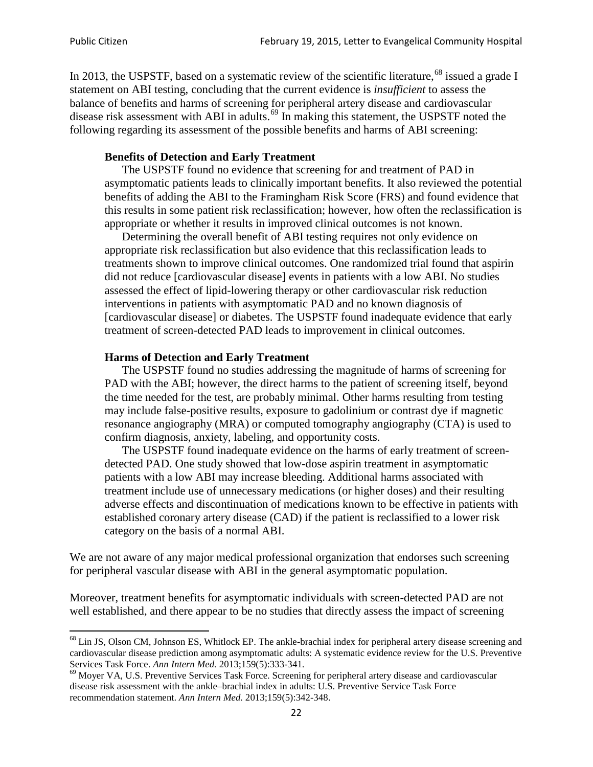In 2013, the USPSTF, based on a systematic review of the scientific literature,<sup>[68](#page-21-0)</sup> issued a grade I statement on ABI testing, concluding that the current evidence is *insufficient* to assess the balance of benefits and harms of screening for peripheral artery disease and cardiovascular disease risk assessment with ABI in adults.<sup>[69](#page-21-1)</sup> In making this statement, the USPSTF noted the following regarding its assessment of the possible benefits and harms of ABI screening:

#### **Benefits of Detection and Early Treatment**

The USPSTF found no evidence that screening for and treatment of PAD in asymptomatic patients leads to clinically important benefits. It also reviewed the potential benefits of adding the ABI to the Framingham Risk Score (FRS) and found evidence that this results in some patient risk reclassification; however, how often the reclassification is appropriate or whether it results in improved clinical outcomes is not known.

Determining the overall benefit of ABI testing requires not only evidence on appropriate risk reclassification but also evidence that this reclassification leads to treatments shown to improve clinical outcomes. One randomized trial found that aspirin did not reduce [cardiovascular disease] events in patients with a low ABI. No studies assessed the effect of lipid-lowering therapy or other cardiovascular risk reduction interventions in patients with asymptomatic PAD and no known diagnosis of [cardiovascular disease] or diabetes. The USPSTF found inadequate evidence that early treatment of screen-detected PAD leads to improvement in clinical outcomes.

#### **Harms of Detection and Early Treatment**

The USPSTF found no studies addressing the magnitude of harms of screening for PAD with the ABI; however, the direct harms to the patient of screening itself, beyond the time needed for the test, are probably minimal. Other harms resulting from testing may include false-positive results, exposure to gadolinium or contrast dye if magnetic resonance angiography (MRA) or computed tomography angiography (CTA) is used to confirm diagnosis, anxiety, labeling, and opportunity costs.

The USPSTF found inadequate evidence on the harms of early treatment of screendetected PAD. One study showed that low-dose aspirin treatment in asymptomatic patients with a low ABI may increase bleeding. Additional harms associated with treatment include use of unnecessary medications (or higher doses) and their resulting adverse effects and discontinuation of medications known to be effective in patients with established coronary artery disease (CAD) if the patient is reclassified to a lower risk category on the basis of a normal ABI.

We are not aware of any major medical professional organization that endorses such screening for peripheral vascular disease with ABI in the general asymptomatic population.

Moreover, treatment benefits for asymptomatic individuals with screen-detected PAD are not well established, and there appear to be no studies that directly assess the impact of screening

<span id="page-21-0"></span><sup>&</sup>lt;sup>68</sup> Lin JS, Olson CM, Johnson ES, Whitlock EP. The ankle-brachial index for peripheral artery disease screening and cardiovascular disease prediction among asymptomatic adults: A systematic evidence review for the U.S. Preventive Services Task Force. *Ann Intern Med.* 2013;159(5):333-341.<br><sup>69</sup> Moyer VA, U.S. Preventive Services Task Force. Screening for peripheral artery disease and cardiovascular

<span id="page-21-1"></span>disease risk assessment with the ankle–brachial index in adults: U.S. Preventive Service Task Force recommendation statement. *Ann Intern Med.* 2013;159(5):342-348.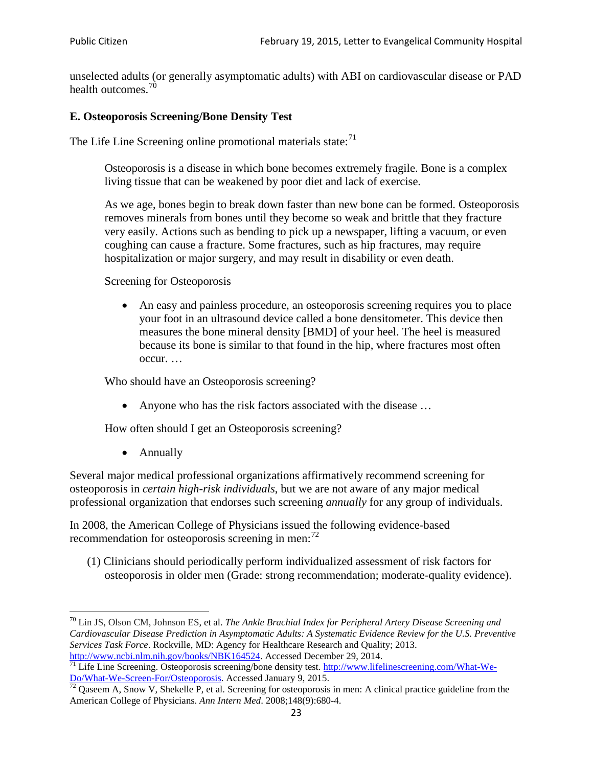unselected adults (or generally asymptomatic adults) with ABI on cardiovascular disease or PAD health outcomes.<sup>[70](#page-22-0)</sup>

## **E. Osteoporosis Screening/Bone Density Test**

The Life Line Screening online promotional materials state: $71$ 

Osteoporosis is a disease in which bone becomes extremely fragile. Bone is a complex living tissue that can be weakened by poor diet and lack of exercise.

As we age, bones begin to break down faster than new bone can be formed. Osteoporosis removes minerals from bones until they become so weak and brittle that they fracture very easily. Actions such as bending to pick up a newspaper, lifting a vacuum, or even coughing can cause a fracture. Some fractures, such as hip fractures, may require hospitalization or major surgery, and may result in disability or even death.

Screening for Osteoporosis

• An easy and painless procedure, an osteoporosis screening requires you to place your foot in an ultrasound device called a bone densitometer. This device then measures the bone mineral density [BMD] of your heel. The heel is measured because its bone is similar to that found in the hip, where fractures most often occur. …

Who should have an Osteoporosis screening?

• Anyone who has the risk factors associated with the disease ...

How often should I get an Osteoporosis screening?

• Annually

Several major medical professional organizations affirmatively recommend screening for osteoporosis in *certain high-risk individuals*, but we are not aware of any major medical professional organization that endorses such screening *annually* for any group of individuals.

In 2008, the American College of Physicians issued the following evidence-based recommendation for osteoporosis screening in men: $^{72}$  $^{72}$  $^{72}$ 

(1) Clinicians should periodically perform individualized assessment of risk factors for osteoporosis in older men (Grade: strong recommendation; moderate-quality evidence).

<span id="page-22-0"></span><sup>70</sup> [Lin JS,](http://www.ncbi.nlm.nih.gov/pubmed?term=Lin%20JS%5BAuthor%5D&cauthor=true&cauthor_uid=24156115) [Olson CM,](http://www.ncbi.nlm.nih.gov/pubmed?term=Olson%20CM%5BAuthor%5D&cauthor=true&cauthor_uid=24156115) [Johnson ES,](http://www.ncbi.nlm.nih.gov/pubmed?term=Johnson%20ES%5BAuthor%5D&cauthor=true&cauthor_uid=24156115) et al. *The Ankle Brachial Index for Peripheral Artery Disease Screening and Cardiovascular Disease Prediction in Asymptomatic Adults: A Systematic Evidence Review for the U.S. Preventive Services Task Force*. Rockville, MD: Agency for Healthcare Research and Quality; 2013.<br>http://www.ncbi.nlm.nih.gov/books/NBK164524. Accessed December 29, 2014.

<span id="page-22-1"></span> $\frac{1}{71}$  Life Line Screening. Osteoporosis screening/bone density test. [http://www.lifelinescreening.com/What-We-](http://www.lifelinescreening.com/What-We-Do/What-We-Screen-For/Osteoporosis) $\frac{Do/What-We-Screen-For/Osteoporosis}{72}$  Qaseem A, Snow V, Shekelle P, et al. Screening for osteoporosis in men: A clinical practice guideline from the

<span id="page-22-2"></span>American College of Physicians. *Ann Intern Med*. 2008;148(9):680-4.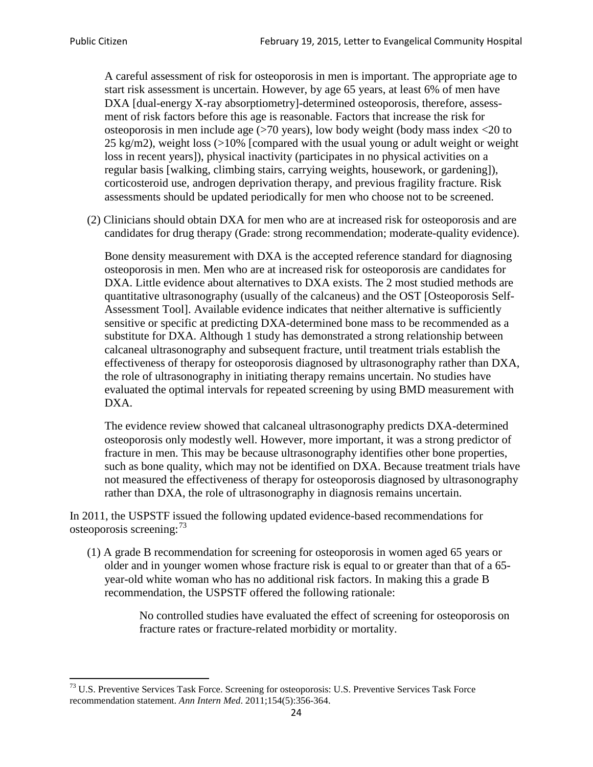A careful assessment of risk for osteoporosis in men is important. The appropriate age to start risk assessment is uncertain. However, by age 65 years, at least 6% of men have DXA [dual-energy X-ray absorptiometry]-determined osteoporosis, therefore, assessment of risk factors before this age is reasonable. Factors that increase the risk for osteoporosis in men include age (>70 years), low body weight (body mass index <20 to 25 kg/m2), weight loss  $\langle$  >10% [compared with the usual young or adult weight or weight loss in recent years]), physical inactivity (participates in no physical activities on a regular basis [walking, climbing stairs, carrying weights, housework, or gardening]), corticosteroid use, androgen deprivation therapy, and previous fragility fracture. Risk assessments should be updated periodically for men who choose not to be screened.

(2) Clinicians should obtain DXA for men who are at increased risk for osteoporosis and are candidates for drug therapy (Grade: strong recommendation; moderate-quality evidence).

Bone density measurement with DXA is the accepted reference standard for diagnosing osteoporosis in men. Men who are at increased risk for osteoporosis are candidates for DXA. Little evidence about alternatives to DXA exists. The 2 most studied methods are quantitative ultrasonography (usually of the calcaneus) and the OST [Osteoporosis Self-Assessment Tool]. Available evidence indicates that neither alternative is sufficiently sensitive or specific at predicting DXA-determined bone mass to be recommended as a substitute for DXA. Although 1 study has demonstrated a strong relationship between calcaneal ultrasonography and subsequent fracture, until treatment trials establish the effectiveness of therapy for osteoporosis diagnosed by ultrasonography rather than DXA, the role of ultrasonography in initiating therapy remains uncertain. No studies have evaluated the optimal intervals for repeated screening by using BMD measurement with DXA.

The evidence review showed that calcaneal ultrasonography predicts DXA-determined osteoporosis only modestly well. However, more important, it was a strong predictor of fracture in men. This may be because ultrasonography identifies other bone properties, such as bone quality, which may not be identified on DXA. Because treatment trials have not measured the effectiveness of therapy for osteoporosis diagnosed by ultrasonography rather than DXA, the role of ultrasonography in diagnosis remains uncertain.

In 2011, the USPSTF issued the following updated evidence-based recommendations for osteoporosis screening:<sup>[73](#page-23-0)</sup>

(1) A grade B recommendation for screening for osteoporosis in women aged 65 years or older and in younger women whose fracture risk is equal to or greater than that of a 65 year-old white woman who has no additional risk factors. In making this a grade B recommendation, the USPSTF offered the following rationale:

> No controlled studies have evaluated the effect of screening for osteoporosis on fracture rates or fracture-related morbidity or mortality.

<span id="page-23-0"></span><sup>&</sup>lt;sup>73</sup> U.S. Preventive Services Task Force. Screening for osteoporosis: U.S. Preventive Services Task Force recommendation statement. *Ann Intern Med*. 2011;154(5):356-364.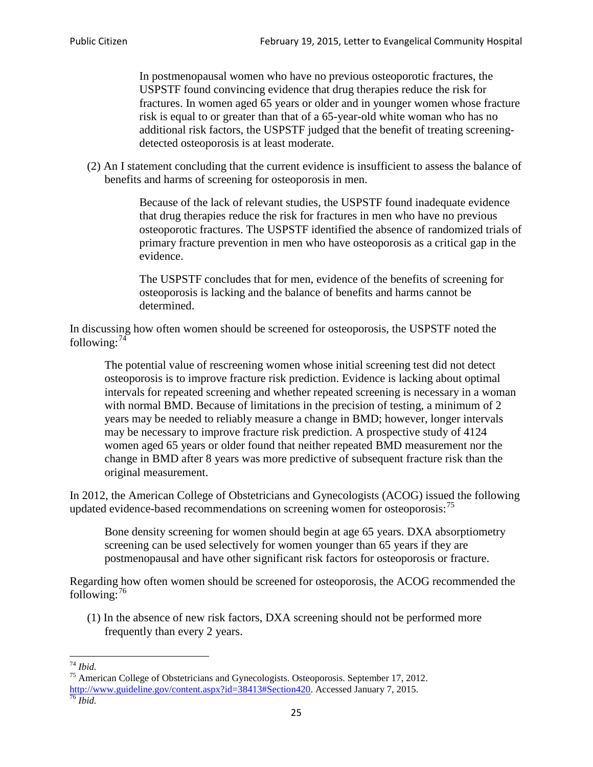In postmenopausal women who have no previous osteoporotic fractures, the USPSTF found convincing evidence that drug therapies reduce the risk for fractures. In women aged 65 years or older and in younger women whose fracture risk is equal to or greater than that of a 65-year-old white woman who has no additional risk factors, the USPSTF judged that the benefit of treating screeningdetected osteoporosis is at least moderate.

(2) An I statement concluding that the current evidence is insufficient to assess the balance of benefits and harms of screening for osteoporosis in men.

> Because of the lack of relevant studies, the USPSTF found inadequate evidence that drug therapies reduce the risk for fractures in men who have no previous osteoporotic fractures. The USPSTF identified the absence of randomized trials of primary fracture prevention in men who have osteoporosis as a critical gap in the evidence.

The USPSTF concludes that for men, evidence of the benefits of screening for osteoporosis is lacking and the balance of benefits and harms cannot be determined.

In discussing how often women should be screened for osteoporosis, the USPSTF noted the following: $74$ 

The potential value of rescreening women whose initial screening test did not detect osteoporosis is to improve fracture risk prediction. Evidence is lacking about optimal intervals for repeated screening and whether repeated screening is necessary in a woman with normal BMD. Because of limitations in the precision of testing, a minimum of 2 years may be needed to reliably measure a change in BMD; however, longer intervals may be necessary to improve fracture risk prediction. A prospective study of 4124 women aged 65 years or older found that neither repeated BMD measurement nor the change in BMD after 8 years was more predictive of subsequent fracture risk than the original measurement.

In 2012, the American College of Obstetricians and Gynecologists (ACOG) issued the following updated evidence-based recommendations on screening women for osteoporosis:<sup>[75](#page-24-1)</sup>

Bone density screening for women should begin at age 65 years. DXA absorptiometry screening can be used selectively for women younger than 65 years if they are postmenopausal and have other significant risk factors for osteoporosis or fracture.

Regarding how often women should be screened for osteoporosis, the ACOG recommended the following: $^{76}$  $^{76}$  $^{76}$ 

(1) In the absence of new risk factors, DXA screening should not be performed more frequently than every 2 years.

<span id="page-24-2"></span><span id="page-24-1"></span><span id="page-24-0"></span><sup>74</sup> *Ibid.* <sup>75</sup> American College of Obstetricians and Gynecologists. Osteoporosis. September 17, 2012. [http://www.guideline.gov/content.aspx?id=38413#Section420.](http://www.guideline.gov/content.aspx?id=38413#Section420) Accessed January 7, 2015.<br><sup>76</sup> *Ibid.*